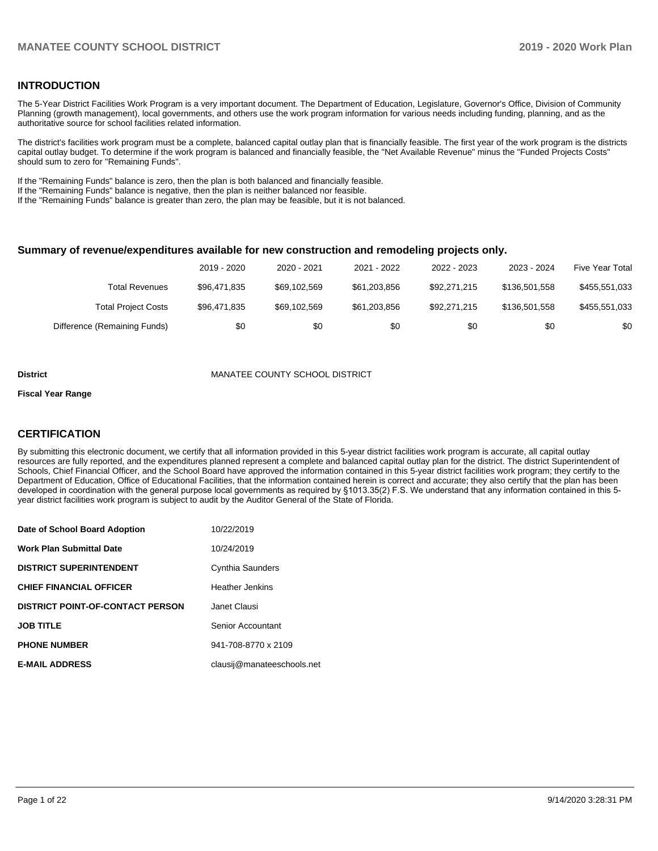### **INTRODUCTION**

The 5-Year District Facilities Work Program is a very important document. The Department of Education, Legislature, Governor's Office, Division of Community Planning (growth management), local governments, and others use the work program information for various needs including funding, planning, and as the authoritative source for school facilities related information.

The district's facilities work program must be a complete, balanced capital outlay plan that is financially feasible. The first year of the work program is the districts capital outlay budget. To determine if the work program is balanced and financially feasible, the "Net Available Revenue" minus the "Funded Projects Costs" should sum to zero for "Remaining Funds".

If the "Remaining Funds" balance is zero, then the plan is both balanced and financially feasible.

If the "Remaining Funds" balance is negative, then the plan is neither balanced nor feasible.

If the "Remaining Funds" balance is greater than zero, the plan may be feasible, but it is not balanced.

### **Summary of revenue/expenditures available for new construction and remodeling projects only.**

|                              | 2019 - 2020  | 2020 - 2021  | 2021 - 2022  | 2022 - 2023  | 2023 - 2024   | Five Year Total |
|------------------------------|--------------|--------------|--------------|--------------|---------------|-----------------|
| Total Revenues               | \$96.471.835 | \$69,102,569 | \$61.203.856 | \$92,271,215 | \$136,501,558 | \$455,551,033   |
| <b>Total Project Costs</b>   | \$96.471.835 | \$69,102,569 | \$61,203,856 | \$92.271.215 | \$136,501,558 | \$455,551,033   |
| Difference (Remaining Funds) | \$0          | \$0          | \$0          | \$0          | \$0           | \$0             |

#### **District** MANATEE COUNTY SCHOOL DISTRICT

#### **Fiscal Year Range**

### **CERTIFICATION**

By submitting this electronic document, we certify that all information provided in this 5-year district facilities work program is accurate, all capital outlay resources are fully reported, and the expenditures planned represent a complete and balanced capital outlay plan for the district. The district Superintendent of Schools, Chief Financial Officer, and the School Board have approved the information contained in this 5-year district facilities work program; they certify to the Department of Education, Office of Educational Facilities, that the information contained herein is correct and accurate; they also certify that the plan has been developed in coordination with the general purpose local governments as required by §1013.35(2) F.S. We understand that any information contained in this 5 year district facilities work program is subject to audit by the Auditor General of the State of Florida.

| Date of School Board Adoption           | 10/22/2019                 |
|-----------------------------------------|----------------------------|
| <b>Work Plan Submittal Date</b>         | 10/24/2019                 |
| <b>DISTRICT SUPERINTENDENT</b>          | Cynthia Saunders           |
| <b>CHIEF FINANCIAL OFFICER</b>          | <b>Heather Jenkins</b>     |
| <b>DISTRICT POINT-OF-CONTACT PERSON</b> | Janet Clausi               |
| <b>JOB TITLE</b>                        | Senior Accountant          |
| <b>PHONE NUMBER</b>                     | 941-708-8770 x 2109        |
| <b>E-MAIL ADDRESS</b>                   | clausij@manateeschools.net |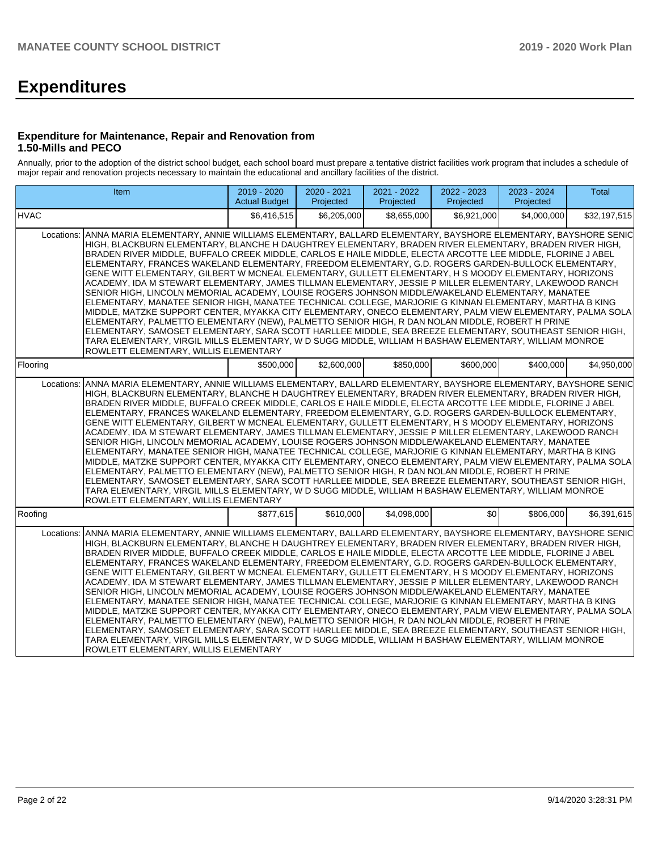# **Expenditures**

### **Expenditure for Maintenance, Repair and Renovation from 1.50-Mills and PECO**

Annually, prior to the adoption of the district school budget, each school board must prepare a tentative district facilities work program that includes a schedule of major repair and renovation projects necessary to maintain the educational and ancillary facilities of the district.

|             | <b>Item</b>                                                                                                                                                                                                                                                                                                                                                                                                                                                                                                                                                                                                                                                                                                                                                                                                                                                                                                                                                                                                                                                                                                                                                                                                                                                                                                                                                                | 2019 - 2020<br><b>Actual Budget</b> | 2020 - 2021<br>Projected | 2021 - 2022<br>Projected | 2022 - 2023<br>Projected | 2023 - 2024<br>Projected | <b>Total</b> |  |  |  |
|-------------|----------------------------------------------------------------------------------------------------------------------------------------------------------------------------------------------------------------------------------------------------------------------------------------------------------------------------------------------------------------------------------------------------------------------------------------------------------------------------------------------------------------------------------------------------------------------------------------------------------------------------------------------------------------------------------------------------------------------------------------------------------------------------------------------------------------------------------------------------------------------------------------------------------------------------------------------------------------------------------------------------------------------------------------------------------------------------------------------------------------------------------------------------------------------------------------------------------------------------------------------------------------------------------------------------------------------------------------------------------------------------|-------------------------------------|--------------------------|--------------------------|--------------------------|--------------------------|--------------|--|--|--|
| <b>HVAC</b> |                                                                                                                                                                                                                                                                                                                                                                                                                                                                                                                                                                                                                                                                                                                                                                                                                                                                                                                                                                                                                                                                                                                                                                                                                                                                                                                                                                            | \$6,416,515                         | \$6,205,000              | \$8.655.000              | \$6.921.000              | \$4,000,000              | \$32,197,515 |  |  |  |
| Locations:  | ANNA MARIA ELEMENTARY, ANNIE WILLIAMS ELEMENTARY, BALLARD ELEMENTARY, BAYSHORE ELEMENTARY, BAYSHORE SENIC<br>HIGH, BLACKBURN ELEMENTARY, BLANCHE H DAUGHTREY ELEMENTARY, BRADEN RIVER ELEMENTARY, BRADEN RIVER HIGH,<br>BRADEN RIVER MIDDLE, BUFFALO CREEK MIDDLE, CARLOS E HAILE MIDDLE, ELECTA ARCOTTE LEE MIDDLE, FLORINE J ABEL<br>ELEMENTARY, FRANCES WAKELAND ELEMENTARY, FREEDOM ELEMENTARY, G.D. ROGERS GARDEN-BULLOCK ELEMENTARY,<br>GENE WITT ELEMENTARY, GILBERT W MCNEAL ELEMENTARY, GULLETT ELEMENTARY, H S MOODY ELEMENTARY, HORIZONS<br>ACADEMY, IDA M STEWART ELEMENTARY, JAMES TILLMAN ELEMENTARY, JESSIE P MILLER ELEMENTARY, LAKEWOOD RANCH<br>SENIOR HIGH, LINCOLN MEMORIAL ACADEMY, LOUISE ROGERS JOHNSON MIDDLE/WAKELAND ELEMENTARY, MANATEE<br>ELEMENTARY, MANATEE SENIOR HIGH, MANATEE TECHNICAL COLLEGE, MARJORIE G KINNAN ELEMENTARY, MARTHA B KING<br>MIDDLE, MATZKE SUPPORT CENTER, MYAKKA CITY ELEMENTARY, ONECO ELEMENTARY, PALM VIEW ELEMENTARY, PALMA SOLA<br>ELEMENTARY, PALMETTO ELEMENTARY (NEW), PALMETTO SENIOR HIGH, R DAN NOLAN MIDDLE, ROBERT H PRINE<br>ELEMENTARY, SAMOSET ELEMENTARY, SARA SCOTT HARLLEE MIDDLE, SEA BREEZE ELEMENTARY, SOUTHEAST SENIOR HIGH,<br>TARA ELEMENTARY, VIRGIL MILLS ELEMENTARY, W D SUGG MIDDLE, WILLIAM H BASHAW ELEMENTARY, WILLIAM MONROE<br>ROWLETT ELEMENTARY, WILLIS ELEMENTARY               |                                     |                          |                          |                          |                          |              |  |  |  |
| Flooring    |                                                                                                                                                                                                                                                                                                                                                                                                                                                                                                                                                                                                                                                                                                                                                                                                                                                                                                                                                                                                                                                                                                                                                                                                                                                                                                                                                                            | \$500,000                           | \$2,600,000              | \$850,000                | \$600,000                | \$400,000                | \$4,950,000  |  |  |  |
|             | ANNA MARIA ELEMENTARY, ANNIE WILLIAMS ELEMENTARY, BALLARD ELEMENTARY, BAYSHORE ELEMENTARY, BAYSHORE SENIC<br>Locations:<br>HIGH, BLACKBURN ELEMENTARY, BLANCHE H DAUGHTREY ELEMENTARY, BRADEN RIVER ELEMENTARY, BRADEN RIVER HIGH,<br>BRADEN RIVER MIDDLE, BUFFALO CREEK MIDDLE, CARLOS E HAILE MIDDLE, ELECTA ARCOTTE LEE MIDDLE, FLORINE J ABEL<br>ELEMENTARY, FRANCES WAKELAND ELEMENTARY, FREEDOM ELEMENTARY, G.D. ROGERS GARDEN-BULLOCK ELEMENTARY,<br>GENE WITT ELEMENTARY, GILBERT W MCNEAL ELEMENTARY, GULLETT ELEMENTARY, H S MOODY ELEMENTARY, HORIZONS<br>ACADEMY, IDA M STEWART ELEMENTARY, JAMES TILLMAN ELEMENTARY, JESSIE P MILLER ELEMENTARY, LAKEWOOD RANCH<br>SENIOR HIGH, LINCOLN MEMORIAL ACADEMY, LOUISE ROGERS JOHNSON MIDDLE/WAKELAND ELEMENTARY, MANATEE<br>ELEMENTARY, MANATEE SENIOR HIGH, MANATEE TECHNICAL COLLEGE, MARJORIE G KINNAN ELEMENTARY, MARTHA B KING<br>MIDDLE, MATZKE SUPPORT CENTER, MYAKKA CITY ELEMENTARY, ONECO ELEMENTARY, PALM VIEW ELEMENTARY, PALMA SOLA<br>ELEMENTARY, PALMETTO ELEMENTARY (NEW), PALMETTO SENIOR HIGH, R DAN NOLAN MIDDLE, ROBERT H PRINE<br>ELEMENTARY, SAMOSET ELEMENTARY, SARA SCOTT HARLLEE MIDDLE, SEA BREEZE ELEMENTARY, SOUTHEAST SENIOR HIGH,<br>TARA ELEMENTARY, VIRGIL MILLS ELEMENTARY, W D SUGG MIDDLE, WILLIAM H BASHAW ELEMENTARY, WILLIAM MONROE<br>ROWLETT ELEMENTARY, WILLIS ELEMENTARY |                                     |                          |                          |                          |                          |              |  |  |  |
| Roofing     |                                                                                                                                                                                                                                                                                                                                                                                                                                                                                                                                                                                                                                                                                                                                                                                                                                                                                                                                                                                                                                                                                                                                                                                                                                                                                                                                                                            | \$877,615                           | \$610,000                | \$4,098,000              | \$0                      | \$806,000                | \$6,391,615  |  |  |  |
| Locations:  | ANNA MARIA ELEMENTARY, ANNIE WILLIAMS ELEMENTARY, BALLARD ELEMENTARY, BAYSHORE ELEMENTARY, BAYSHORE SENIC<br>HIGH, BLACKBURN ELEMENTARY, BLANCHE H DAUGHTREY ELEMENTARY, BRADEN RIVER ELEMENTARY, BRADEN RIVER HIGH,<br>BRADEN RIVER MIDDLE, BUFFALO CREEK MIDDLE, CARLOS E HAILE MIDDLE, ELECTA ARCOTTE LEE MIDDLE, FLORINE J ABEL<br>ELEMENTARY, FRANCES WAKELAND ELEMENTARY, FREEDOM ELEMENTARY, G.D. ROGERS GARDEN-BULLOCK ELEMENTARY,<br>GENE WITT ELEMENTARY, GILBERT W MCNEAL ELEMENTARY, GULLETT ELEMENTARY, H S MOODY ELEMENTARY, HORIZONS<br>ACADEMY, IDA M STEWART ELEMENTARY, JAMES TILLMAN ELEMENTARY, JESSIE P MILLER ELEMENTARY, LAKEWOOD RANCH<br>SENIOR HIGH, LINCOLN MEMORIAL ACADEMY, LOUISE ROGERS JOHNSON MIDDLE/WAKELAND ELEMENTARY, MANATEE<br>ELEMENTARY, MANATEE SENIOR HIGH, MANATEE TECHNICAL COLLEGE, MARJORIE G KINNAN ELEMENTARY, MARTHA B KING<br>MIDDLE, MATZKE SUPPORT CENTER, MYAKKA CITY ELEMENTARY, ONECO ELEMENTARY, PALM VIEW ELEMENTARY, PALMA SOLA<br>ELEMENTARY, PALMETTO ELEMENTARY (NEW), PALMETTO SENIOR HIGH, R DAN NOLAN MIDDLE, ROBERT H PRINE<br>ELEMENTARY, SAMOSET ELEMENTARY, SARA SCOTT HARLLEE MIDDLE, SEA BREEZE ELEMENTARY, SOUTHEAST SENIOR HIGH,<br>TARA ELEMENTARY, VIRGIL MILLS ELEMENTARY, W D SUGG MIDDLE, WILLIAM H BASHAW ELEMENTARY, WILLIAM MONROE<br>ROWLETT ELEMENTARY, WILLIS ELEMENTARY               |                                     |                          |                          |                          |                          |              |  |  |  |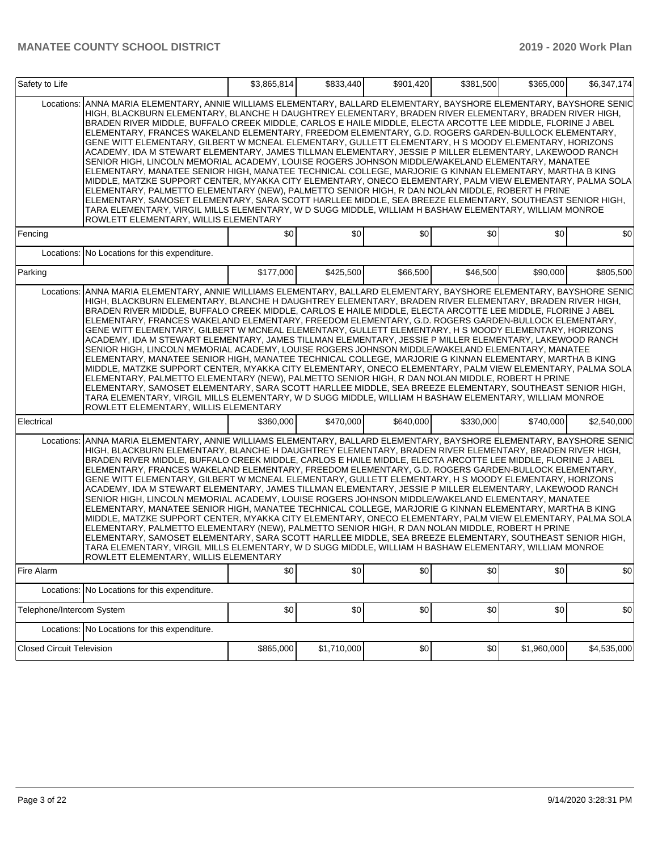| Safety to Life                   |                                                                                                                                                                                                                                                                                                                                                                                                                                                                                                                                                                                                                                                                                                                                                                                                                                                                                                                                                                                                                                                                                                                                                                                                                                                                                                                                                              | \$3,865,814 | \$833,440   | \$901,420 | \$381,500 | \$365,000   | \$6,347,174 |
|----------------------------------|--------------------------------------------------------------------------------------------------------------------------------------------------------------------------------------------------------------------------------------------------------------------------------------------------------------------------------------------------------------------------------------------------------------------------------------------------------------------------------------------------------------------------------------------------------------------------------------------------------------------------------------------------------------------------------------------------------------------------------------------------------------------------------------------------------------------------------------------------------------------------------------------------------------------------------------------------------------------------------------------------------------------------------------------------------------------------------------------------------------------------------------------------------------------------------------------------------------------------------------------------------------------------------------------------------------------------------------------------------------|-------------|-------------|-----------|-----------|-------------|-------------|
| Locations:                       | ANNA MARIA ELEMENTARY, ANNIE WILLIAMS ELEMENTARY, BALLARD ELEMENTARY, BAYSHORE ELEMENTARY, BAYSHORE SENIC<br>HIGH, BLACKBURN ELEMENTARY, BLANCHE H DAUGHTREY ELEMENTARY, BRADEN RIVER ELEMENTARY, BRADEN RIVER HIGH,<br>BRADEN RIVER MIDDLE, BUFFALO CREEK MIDDLE, CARLOS E HAILE MIDDLE, ELECTA ARCOTTE LEE MIDDLE, FLORINE J ABEL<br>ELEMENTARY, FRANCES WAKELAND ELEMENTARY, FREEDOM ELEMENTARY, G.D. ROGERS GARDEN-BULLOCK ELEMENTARY,<br>GENE WITT ELEMENTARY, GILBERT W MCNEAL ELEMENTARY, GULLETT ELEMENTARY, H S MOODY ELEMENTARY, HORIZONS<br>ACADEMY. IDA M STEWART ELEMENTARY. JAMES TILLMAN ELEMENTARY. JESSIE P MILLER ELEMENTARY. LAKEWOOD RANCH<br>SENIOR HIGH, LINCOLN MEMORIAL ACADEMY, LOUISE ROGERS JOHNSON MIDDLE/WAKELAND ELEMENTARY, MANATEE<br>ELEMENTARY, MANATEE SENIOR HIGH, MANATEE TECHNICAL COLLEGE, MARJORIE G KINNAN ELEMENTARY, MARTHA B KING<br>MIDDLE, MATZKE SUPPORT CENTER, MYAKKA CITY ELEMENTARY, ONECO ELEMENTARY, PALM VIEW ELEMENTARY, PALMA SOLA<br>ELEMENTARY, PALMETTO ELEMENTARY (NEW), PALMETTO SENIOR HIGH, R DAN NOLAN MIDDLE, ROBERT H PRINE<br>ELEMENTARY, SAMOSET ELEMENTARY, SARA SCOTT HARLLEE MIDDLE, SEA BREEZE ELEMENTARY, SOUTHEAST SENIOR HIGH,<br>TARA ELEMENTARY, VIRGIL MILLS ELEMENTARY, W D SUGG MIDDLE, WILLIAM H BASHAW ELEMENTARY, WILLIAM MONROE<br>ROWLETT ELEMENTARY, WILLIS ELEMENTARY |             |             |           |           |             |             |
| Fencing                          |                                                                                                                                                                                                                                                                                                                                                                                                                                                                                                                                                                                                                                                                                                                                                                                                                                                                                                                                                                                                                                                                                                                                                                                                                                                                                                                                                              | \$0         | \$0         | \$0       | \$0       | \$0         | \$0         |
|                                  | Locations: No Locations for this expenditure.                                                                                                                                                                                                                                                                                                                                                                                                                                                                                                                                                                                                                                                                                                                                                                                                                                                                                                                                                                                                                                                                                                                                                                                                                                                                                                                |             |             |           |           |             |             |
| Parking                          |                                                                                                                                                                                                                                                                                                                                                                                                                                                                                                                                                                                                                                                                                                                                                                                                                                                                                                                                                                                                                                                                                                                                                                                                                                                                                                                                                              | \$177,000   | \$425,500   | \$66,500  | \$46,500  | \$90,000    | \$805,500   |
| Locations:                       | ANNA MARIA ELEMENTARY, ANNIE WILLIAMS ELEMENTARY, BALLARD ELEMENTARY, BAYSHORE ELEMENTARY, BAYSHORE SENIC<br>HIGH, BLACKBURN ELEMENTARY, BLANCHE H DAUGHTREY ELEMENTARY, BRADEN RIVER ELEMENTARY, BRADEN RIVER HIGH,<br>BRADEN RIVER MIDDLE, BUFFALO CREEK MIDDLE, CARLOS E HAILE MIDDLE, ELECTA ARCOTTE LEE MIDDLE, FLORINE J ABEL<br>ELEMENTARY, FRANCES WAKELAND ELEMENTARY, FREEDOM ELEMENTARY, G.D. ROGERS GARDEN-BULLOCK ELEMENTARY,<br>GENE WITT ELEMENTARY, GILBERT W MCNEAL ELEMENTARY, GULLETT ELEMENTARY, H S MOODY ELEMENTARY, HORIZONS<br>ACADEMY, IDA M STEWART ELEMENTARY, JAMES TILLMAN ELEMENTARY, JESSIE P MILLER ELEMENTARY, LAKEWOOD RANCH<br>SENIOR HIGH, LINCOLN MEMORIAL ACADEMY, LOUISE ROGERS JOHNSON MIDDLE/WAKELAND ELEMENTARY, MANATEE<br>ELEMENTARY, MANATEE SENIOR HIGH, MANATEE TECHNICAL COLLEGE, MARJORIE G KINNAN ELEMENTARY, MARTHA B KING<br>MIDDLE, MATZKE SUPPORT CENTER, MYAKKA CITY ELEMENTARY, ONECO ELEMENTARY, PALM VIEW ELEMENTARY, PALMA SOLA<br>ELEMENTARY, PALMETTO ELEMENTARY (NEW), PALMETTO SENIOR HIGH, R DAN NOLAN MIDDLE, ROBERT H PRINE<br>ELEMENTARY, SAMOSET ELEMENTARY, SARA SCOTT HARLLEE MIDDLE, SEA BREEZE ELEMENTARY, SOUTHEAST SENIOR HIGH,<br>TARA ELEMENTARY, VIRGIL MILLS ELEMENTARY, W D SUGG MIDDLE, WILLIAM H BASHAW ELEMENTARY, WILLIAM MONROE<br>ROWLETT ELEMENTARY, WILLIS ELEMENTARY |             |             |           |           |             |             |
| Electrical                       |                                                                                                                                                                                                                                                                                                                                                                                                                                                                                                                                                                                                                                                                                                                                                                                                                                                                                                                                                                                                                                                                                                                                                                                                                                                                                                                                                              | \$360,000   | \$470,000   | \$640,000 | \$330,000 | \$740,000   | \$2,540,000 |
| Locations:                       | ANNA MARIA ELEMENTARY, ANNIE WILLIAMS ELEMENTARY, BALLARD ELEMENTARY, BAYSHORE ELEMENTARY, BAYSHORE SENIC<br>HIGH, BLACKBURN ELEMENTARY, BLANCHE H DAUGHTREY ELEMENTARY, BRADEN RIVER ELEMENTARY, BRADEN RIVER HIGH,<br>BRADEN RIVER MIDDLE, BUFFALO CREEK MIDDLE, CARLOS E HAILE MIDDLE, ELECTA ARCOTTE LEE MIDDLE, FLORINE J ABEL<br>ELEMENTARY, FRANCES WAKELAND ELEMENTARY, FREEDOM ELEMENTARY, G.D. ROGERS GARDEN-BULLOCK ELEMENTARY,<br>GENE WITT ELEMENTARY, GILBERT W MCNEAL ELEMENTARY, GULLETT ELEMENTARY, H S MOODY ELEMENTARY, HORIZONS<br>ACADEMY, IDA M STEWART ELEMENTARY, JAMES TILLMAN ELEMENTARY, JESSIE P MILLER ELEMENTARY, LAKEWOOD RANCH<br>SENIOR HIGH, LINCOLN MEMORIAL ACADEMY, LOUISE ROGERS JOHNSON MIDDLE/WAKELAND ELEMENTARY, MANATEE<br>ELEMENTARY, MANATEE SENIOR HIGH, MANATEE TECHNICAL COLLEGE, MARJORIE G KINNAN ELEMENTARY, MARTHA B KING<br>MIDDLE, MATZKE SUPPORT CENTER, MYAKKA CITY ELEMENTARY, ONECO ELEMENTARY, PALM VIEW ELEMENTARY, PALMA SOLA<br>ELEMENTARY, PALMETTO ELEMENTARY (NEW), PALMETTO SENIOR HIGH, R DAN NOLAN MIDDLE, ROBERT H PRINE<br>ELEMENTARY, SAMOSET ELEMENTARY, SARA SCOTT HARLLEE MIDDLE, SEA BREEZE ELEMENTARY, SOUTHEAST SENIOR HIGH,<br>TARA ELEMENTARY, VIRGIL MILLS ELEMENTARY, W D SUGG MIDDLE, WILLIAM H BASHAW ELEMENTARY, WILLIAM MONROE<br>ROWLETT ELEMENTARY, WILLIS ELEMENTARY |             |             |           |           |             |             |
| Fire Alarm                       |                                                                                                                                                                                                                                                                                                                                                                                                                                                                                                                                                                                                                                                                                                                                                                                                                                                                                                                                                                                                                                                                                                                                                                                                                                                                                                                                                              | \$0         | \$0         | \$0       | \$0       | \$0         | \$0         |
|                                  | Locations: No Locations for this expenditure.                                                                                                                                                                                                                                                                                                                                                                                                                                                                                                                                                                                                                                                                                                                                                                                                                                                                                                                                                                                                                                                                                                                                                                                                                                                                                                                |             |             |           |           |             |             |
| Telephone/Intercom System        |                                                                                                                                                                                                                                                                                                                                                                                                                                                                                                                                                                                                                                                                                                                                                                                                                                                                                                                                                                                                                                                                                                                                                                                                                                                                                                                                                              | \$0         | \$0         | \$0       | \$0       | \$0         | \$0         |
|                                  | Locations: No Locations for this expenditure.                                                                                                                                                                                                                                                                                                                                                                                                                                                                                                                                                                                                                                                                                                                                                                                                                                                                                                                                                                                                                                                                                                                                                                                                                                                                                                                |             |             |           |           |             |             |
| <b>Closed Circuit Television</b> |                                                                                                                                                                                                                                                                                                                                                                                                                                                                                                                                                                                                                                                                                                                                                                                                                                                                                                                                                                                                                                                                                                                                                                                                                                                                                                                                                              | \$865,000   | \$1,710,000 | \$0       | \$0       | \$1,960,000 | \$4,535,000 |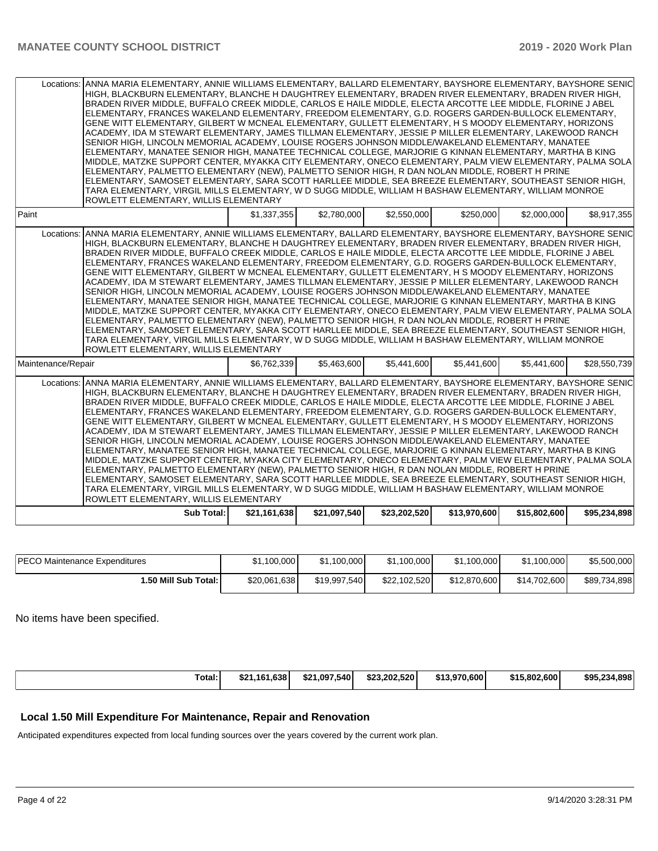|                    | Locations: ANNA MARIA ELEMENTARY, ANNIE WILLIAMS ELEMENTARY, BALLARD ELEMENTARY, BAYSHORE ELEMENTARY, BAYSHORE SENIC<br>HIGH, BLACKBURN ELEMENTARY, BLANCHE H DAUGHTREY ELEMENTARY, BRADEN RIVER ELEMENTARY, BRADEN RIVER HIGH,<br>BRADEN RIVER MIDDLE, BUFFALO CREEK MIDDLE, CARLOS E HAILE MIDDLE, ELECTA ARCOTTE LEE MIDDLE, FLORINE J ABEL<br>ELEMENTARY, FRANCES WAKELAND ELEMENTARY, FREEDOM ELEMENTARY, G.D. ROGERS GARDEN-BULLOCK ELEMENTARY,<br>GENE WITT ELEMENTARY, GILBERT W MCNEAL ELEMENTARY, GULLETT ELEMENTARY, H S MOODY ELEMENTARY, HORIZONS<br>ACADEMY, IDA M STEWART ELEMENTARY, JAMES TILLMAN ELEMENTARY, JESSIE P MILLER ELEMENTARY, LAKEWOOD RANCH<br>SENIOR HIGH, LINCOLN MEMORIAL ACADEMY, LOUISE ROGERS JOHNSON MIDDLE/WAKELAND ELEMENTARY, MANATEE<br>ELEMENTARY, MANATEE SENIOR HIGH, MANATEE TECHNICAL COLLEGE, MARJORIE G KINNAN ELEMENTARY, MARTHA B KING<br>MIDDLE, MATZKE SUPPORT CENTER, MYAKKA CITY ELEMENTARY, ONECO ELEMENTARY, PALM VIEW ELEMENTARY, PALMA SOLA<br>ELEMENTARY, PALMETTO ELEMENTARY (NEW), PALMETTO SENIOR HIGH, R DAN NOLAN MIDDLE, ROBERT H PRINE<br>ELEMENTARY, SAMOSET ELEMENTARY, SARA SCOTT HARLLEE MIDDLE, SEA BREEZE ELEMENTARY, SOUTHEAST SENIOR HIGH,<br>TARA ELEMENTARY, VIRGIL MILLS ELEMENTARY, W D SUGG MIDDLE, WILLIAM H BASHAW ELEMENTARY, WILLIAM MONROE<br>ROWLETT ELEMENTARY, WILLIS ELEMENTARY |              |              |              |              |              |              |
|--------------------|-------------------------------------------------------------------------------------------------------------------------------------------------------------------------------------------------------------------------------------------------------------------------------------------------------------------------------------------------------------------------------------------------------------------------------------------------------------------------------------------------------------------------------------------------------------------------------------------------------------------------------------------------------------------------------------------------------------------------------------------------------------------------------------------------------------------------------------------------------------------------------------------------------------------------------------------------------------------------------------------------------------------------------------------------------------------------------------------------------------------------------------------------------------------------------------------------------------------------------------------------------------------------------------------------------------------------------------------------------------------------|--------------|--------------|--------------|--------------|--------------|--------------|
| Paint              |                                                                                                                                                                                                                                                                                                                                                                                                                                                                                                                                                                                                                                                                                                                                                                                                                                                                                                                                                                                                                                                                                                                                                                                                                                                                                                                                                                         | \$1,337,355  | \$2,780,000  | \$2,550,000  | \$250,000    | \$2,000,000  | \$8,917,355  |
| Locations:         | ANNA MARIA ELEMENTARY, ANNIE WILLIAMS ELEMENTARY, BALLARD ELEMENTARY, BAYSHORE ELEMENTARY, BAYSHORE SENIC<br>HIGH, BLACKBURN ELEMENTARY, BLANCHE H DAUGHTREY ELEMENTARY, BRADEN RIVER ELEMENTARY, BRADEN RIVER HIGH,<br>BRADEN RIVER MIDDLE. BUFFALO CREEK MIDDLE. CARLOS E HAILE MIDDLE. ELECTA ARCOTTE LEE MIDDLE. FLORINE J ABEL<br>ELEMENTARY, FRANCES WAKELAND ELEMENTARY, FREEDOM ELEMENTARY, G.D. ROGERS GARDEN-BULLOCK ELEMENTARY,<br>GENE WITT ELEMENTARY, GILBERT W MCNEAL ELEMENTARY, GULLETT ELEMENTARY, H S MOODY ELEMENTARY, HORIZONS<br>ACADEMY, IDA M STEWART ELEMENTARY, JAMES TILLMAN ELEMENTARY, JESSIE P MILLER ELEMENTARY, LAKEWOOD RANCH<br>SENIOR HIGH, LINCOLN MEMORIAL ACADEMY, LOUISE ROGERS JOHNSON MIDDLE/WAKELAND ELEMENTARY, MANATEE<br>ELEMENTARY, MANATEE SENIOR HIGH, MANATEE TECHNICAL COLLEGE, MARJORIE G KINNAN ELEMENTARY, MARTHA B KING<br>MIDDLE, MATZKE SUPPORT CENTER, MYAKKA CITY ELEMENTARY, ONECO ELEMENTARY, PALM VIEW ELEMENTARY, PALMA SOLA<br>ELEMENTARY, PALMETTO ELEMENTARY (NEW), PALMETTO SENIOR HIGH, R DAN NOLAN MIDDLE, ROBERT H PRINE<br>ELEMENTARY, SAMOSET ELEMENTARY, SARA SCOTT HARLLEE MIDDLE, SEA BREEZE ELEMENTARY, SOUTHEAST SENIOR HIGH,<br>TARA ELEMENTARY, VIRGIL MILLS ELEMENTARY, W D SUGG MIDDLE, WILLIAM H BASHAW ELEMENTARY, WILLIAM MONROE<br>ROWLETT ELEMENTARY, WILLIS ELEMENTARY            |              |              |              |              |              |              |
| Maintenance/Repair |                                                                                                                                                                                                                                                                                                                                                                                                                                                                                                                                                                                                                                                                                                                                                                                                                                                                                                                                                                                                                                                                                                                                                                                                                                                                                                                                                                         | \$6,762,339  | \$5.463.600  | \$5,441,600  | \$5,441,600  | \$5,441,600  | \$28,550,739 |
| Locations:         | ANNA MARIA ELEMENTARY, ANNIE WILLIAMS ELEMENTARY, BALLARD ELEMENTARY, BAYSHORE ELEMENTARY, BAYSHORE SENIC<br>HIGH, BLACKBURN ELEMENTARY, BLANCHE H DAUGHTREY ELEMENTARY, BRADEN RIVER ELEMENTARY, BRADEN RIVER HIGH,<br>BRADEN RIVER MIDDLE, BUFFALO CREEK MIDDLE, CARLOS E HAILE MIDDLE, ELECTA ARCOTTE LEE MIDDLE, FLORINE J ABEL<br>ELEMENTARY, FRANCES WAKELAND ELEMENTARY, FREEDOM ELEMENTARY, G.D. ROGERS GARDEN-BULLOCK ELEMENTARY.<br>GENE WITT ELEMENTARY, GILBERT W MCNEAL ELEMENTARY, GULLETT ELEMENTARY, H S MOODY ELEMENTARY, HORIZONS<br>ACADEMY, IDA M STEWART ELEMENTARY, JAMES TILLMAN ELEMENTARY, JESSIE P MILLER ELEMENTARY, LAKEWOOD RANCH<br>SENIOR HIGH, LINCOLN MEMORIAL ACADEMY, LOUISE ROGERS JOHNSON MIDDLE/WAKELAND ELEMENTARY, MANATEE<br>ELEMENTARY, MANATEE SENIOR HIGH, MANATEE TECHNICAL COLLEGE, MARJORIE G KINNAN ELEMENTARY, MARTHA B KING<br>MIDDLE, MATZKE SUPPORT CENTER, MYAKKA CITY ELEMENTARY, ONECO ELEMENTARY, PALM VIEW ELEMENTARY, PALMA SOLA<br>ELEMENTARY, PALMETTO ELEMENTARY (NEW), PALMETTO SENIOR HIGH, R DAN NOLAN MIDDLE, ROBERT H PRINE<br> ELEMENTARY, SAMOSET ELEMENTARY, SARA SCOTT HARLLEE MIDDLE, SEA BREEZE ELEMENTARY, SOUTHEAST SENIOR HIGH,<br>TARA ELEMENTARY, VIRGIL MILLS ELEMENTARY, W D SUGG MIDDLE, WILLIAM H BASHAW ELEMENTARY, WILLIAM MONROE<br>ROWLETT ELEMENTARY, WILLIS ELEMENTARY           |              |              |              |              |              |              |
|                    | Sub Total:                                                                                                                                                                                                                                                                                                                                                                                                                                                                                                                                                                                                                                                                                                                                                                                                                                                                                                                                                                                                                                                                                                                                                                                                                                                                                                                                                              | \$21,161,638 | \$21,097,540 | \$23,202,520 | \$13,970,600 | \$15,802,600 | \$95,234,898 |

| <b>PECO Maintenance Expenditures</b> | \$1,100,000  | \$1,100,000  | \$1,100,000  | \$1,100,000  | \$1,100,000  | \$5,500,000  |
|--------------------------------------|--------------|--------------|--------------|--------------|--------------|--------------|
| 1.50 Mill Sub Total: I               | \$20,061,638 | \$19,997,540 | \$22,102,520 | \$12,870,600 | \$14,702,600 | \$89,734,898 |

No items have been specified.

| Total: | \$21.161.638 | \$21.097.540 | \$23,202,520 | \$13,970,600 | \$15,802,600 | \$95,234,898 |
|--------|--------------|--------------|--------------|--------------|--------------|--------------|
|--------|--------------|--------------|--------------|--------------|--------------|--------------|

### **Local 1.50 Mill Expenditure For Maintenance, Repair and Renovation**

Anticipated expenditures expected from local funding sources over the years covered by the current work plan.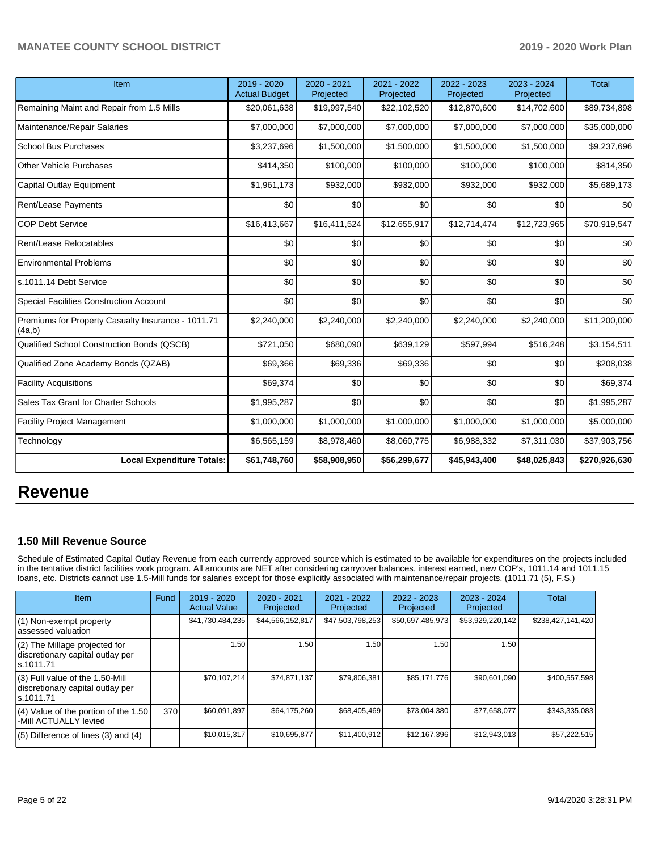| Item                                                         | 2019 - 2020<br><b>Actual Budget</b> | 2020 - 2021<br>Projected | 2021 - 2022<br>Projected | 2022 - 2023<br>Projected | 2023 - 2024<br>Projected | <b>Total</b>  |
|--------------------------------------------------------------|-------------------------------------|--------------------------|--------------------------|--------------------------|--------------------------|---------------|
| Remaining Maint and Repair from 1.5 Mills                    | \$20,061,638                        | \$19,997,540             | \$22,102,520             | \$12,870,600             | \$14,702,600             | \$89,734,898  |
| Maintenance/Repair Salaries                                  | \$7,000,000                         | \$7,000,000              | \$7,000,000              | \$7,000,000              | \$7,000,000              | \$35,000,000  |
| <b>School Bus Purchases</b>                                  | \$3,237,696                         | \$1,500,000              | \$1,500,000              | \$1,500,000              | \$1,500,000              | \$9,237,696   |
| <b>Other Vehicle Purchases</b>                               | \$414,350                           | \$100,000                | \$100,000                | \$100,000                | \$100,000                | \$814,350     |
| <b>Capital Outlay Equipment</b>                              | \$1,961,173                         | \$932,000                | \$932,000                | \$932,000                | \$932,000                | \$5,689,173   |
| Rent/Lease Payments                                          | \$0                                 | \$0                      | \$0                      | \$0                      | \$0                      | \$0           |
| <b>COP Debt Service</b>                                      | \$16,413,667                        | \$16,411,524             | \$12,655,917             | \$12,714,474             | \$12,723,965             | \$70,919,547  |
| Rent/Lease Relocatables                                      | \$0                                 | \$0                      | \$0                      | \$0                      | \$0                      | \$0           |
| <b>Environmental Problems</b>                                | \$0                                 | \$0                      | \$0                      | \$0                      | \$0                      | \$0           |
| ls.1011.14 Debt Service                                      | \$0                                 | \$0                      | \$0                      | \$0                      | \$0                      | \$0           |
| <b>Special Facilities Construction Account</b>               | \$0                                 | \$0                      | \$0                      | \$0                      | \$0                      | \$0           |
| Premiums for Property Casualty Insurance - 1011.71<br>(4a,b) | \$2,240,000                         | \$2,240,000              | \$2,240,000              | \$2,240,000              | \$2,240,000              | \$11,200,000  |
| Qualified School Construction Bonds (QSCB)                   | \$721,050                           | \$680,090                | \$639,129                | \$597,994                | \$516,248                | \$3,154,511   |
| Qualified Zone Academy Bonds (QZAB)                          | \$69,366                            | \$69,336                 | \$69,336                 | \$0                      | \$0                      | \$208,038     |
| <b>Facility Acquisitions</b>                                 | \$69,374                            | \$0                      | \$0                      | \$0                      | \$0                      | \$69,374      |
| Sales Tax Grant for Charter Schools                          | \$1,995,287                         | \$0                      | \$0                      | \$0                      | \$0                      | \$1,995,287   |
| <b>Facility Project Management</b>                           | \$1,000,000                         | \$1,000,000              | \$1,000,000              | \$1,000,000              | \$1,000,000              | \$5,000,000   |
| Technology                                                   | \$6,565,159                         | \$8,978,460              | \$8,060,775              | \$6,988,332              | \$7,311,030              | \$37,903,756  |
| <b>Local Expenditure Totals:</b>                             | \$61,748,760                        | \$58,908,950             | \$56,299,677             | \$45,943,400             | \$48,025,843             | \$270,926,630 |

# **Revenue**

## **1.50 Mill Revenue Source**

Schedule of Estimated Capital Outlay Revenue from each currently approved source which is estimated to be available for expenditures on the projects included in the tentative district facilities work program. All amounts are NET after considering carryover balances, interest earned, new COP's, 1011.14 and 1011.15 loans, etc. Districts cannot use 1.5-Mill funds for salaries except for those explicitly associated with maintenance/repair projects. (1011.71 (5), F.S.)

| <b>Item</b>                                                                         | Fund | $2019 - 2020$<br><b>Actual Value</b> | $2020 - 2021$<br>Projected | $2021 - 2022$<br>Projected | $2022 - 2023$<br>Projected | $2023 - 2024$<br>Projected | Total             |
|-------------------------------------------------------------------------------------|------|--------------------------------------|----------------------------|----------------------------|----------------------------|----------------------------|-------------------|
| (1) Non-exempt property<br>lassessed valuation                                      |      | \$41,730,484,235                     | \$44,566,152,817           | \$47,503,798,253           | \$50,697,485,973           | \$53,929,220,142           | \$238,427,141,420 |
| $(2)$ The Millage projected for<br>discretionary capital outlay per<br>ls.1011.71   |      | 1.50                                 | 1.50                       | 1.50                       | 1.50                       | 1.50                       |                   |
| $(3)$ Full value of the 1.50-Mill<br>discretionary capital outlay per<br>ls.1011.71 |      | \$70,107,214                         | \$74.871.137               | \$79,806,381               | \$85,171,776               | \$90,601,090               | \$400,557,598     |
| (4) Value of the portion of the 1.50<br>-Mill ACTUALLY levied                       | 370  | \$60,091,897                         | \$64,175,260               | \$68,405,469               | \$73,004,380               | \$77,658,077               | \$343,335,083     |
| $(5)$ Difference of lines $(3)$ and $(4)$                                           |      | \$10,015,317                         | \$10,695,877               | \$11,400,912               | \$12,167,396               | \$12,943,013               | \$57,222,515      |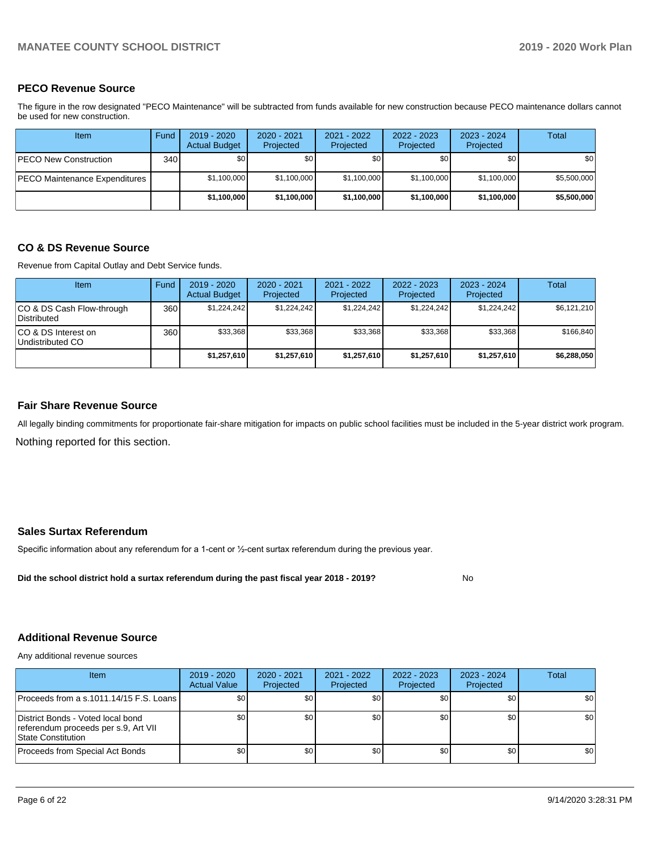### **PECO Revenue Source**

The figure in the row designated "PECO Maintenance" will be subtracted from funds available for new construction because PECO maintenance dollars cannot be used for new construction.

| Item                          | Fund         | 2019 - 2020<br><b>Actual Budget</b> | 2020 - 2021<br>Projected | 2021 - 2022<br>Projected | 2022 - 2023<br>Projected | 2023 - 2024<br>Projected | Total       |
|-------------------------------|--------------|-------------------------------------|--------------------------|--------------------------|--------------------------|--------------------------|-------------|
| <b>IPECO New Construction</b> | 340 <b>I</b> | \$0                                 | \$0                      | \$0                      | \$0 <sub>1</sub>         | \$0                      | \$0         |
| PECO Maintenance Expenditures |              | \$1,100,000                         | \$1,100,000              | \$1,100,000              | \$1,100,000              | \$1,100,000              | \$5,500,000 |
|                               |              | \$1,100,000                         | \$1,100,000              | \$1,100,000              | \$1,100,000              | \$1,100,000              | \$5,500,000 |

### **CO & DS Revenue Source**

Revenue from Capital Outlay and Debt Service funds.

| <b>Item</b>                                     | Fund | $2019 - 2020$<br><b>Actual Budget</b> | $2020 - 2021$<br>Projected | 2021 - 2022<br>Projected | $2022 - 2023$<br>Projected | $2023 - 2024$<br>Projected | Total       |
|-------------------------------------------------|------|---------------------------------------|----------------------------|--------------------------|----------------------------|----------------------------|-------------|
| CO & DS Cash Flow-through<br><b>Distributed</b> | 360  | \$1.224.242                           | \$1,224,242                | \$1,224,242              | \$1.224.242                | \$1,224,242                | \$6,121,210 |
| CO & DS Interest on<br>Undistributed CO         | 360  | \$33,368                              | \$33.368                   | \$33,368                 | \$33,368                   | \$33,368                   | \$166,840   |
|                                                 |      | \$1,257,610                           | \$1,257,610                | \$1,257,610              | \$1,257,610                | \$1,257,610                | \$6,288,050 |

### **Fair Share Revenue Source**

Nothing reported for this section. All legally binding commitments for proportionate fair-share mitigation for impacts on public school facilities must be included in the 5-year district work program.

### **Sales Surtax Referendum**

Specific information about any referendum for a 1-cent or ½-cent surtax referendum during the previous year.

**Did the school district hold a surtax referendum during the past fiscal year 2018 - 2019?**

### **Additional Revenue Source**

Any additional revenue sources

| Item                                                                                            | $2019 - 2020$<br><b>Actual Value</b> | $2020 - 2021$<br>Projected | $2021 - 2022$<br>Projected | $2022 - 2023$<br>Projected | $2023 - 2024$<br>Projected | Total            |
|-------------------------------------------------------------------------------------------------|--------------------------------------|----------------------------|----------------------------|----------------------------|----------------------------|------------------|
| Proceeds from a s.1011.14/15 F.S. Loans                                                         | \$0                                  | \$0                        | \$0                        | \$0                        | \$0                        | \$0 <sub>1</sub> |
| District Bonds - Voted local bond<br>referendum proceeds per s.9, Art VII<br>State Constitution | \$0                                  | \$0 <sub>1</sub>           | \$0                        | \$0                        | \$0                        | \$0 <sub>1</sub> |
| Proceeds from Special Act Bonds                                                                 | \$0                                  | \$0 <sub>1</sub>           | \$0                        | \$0                        | \$0 <sub>1</sub>           | \$0              |

No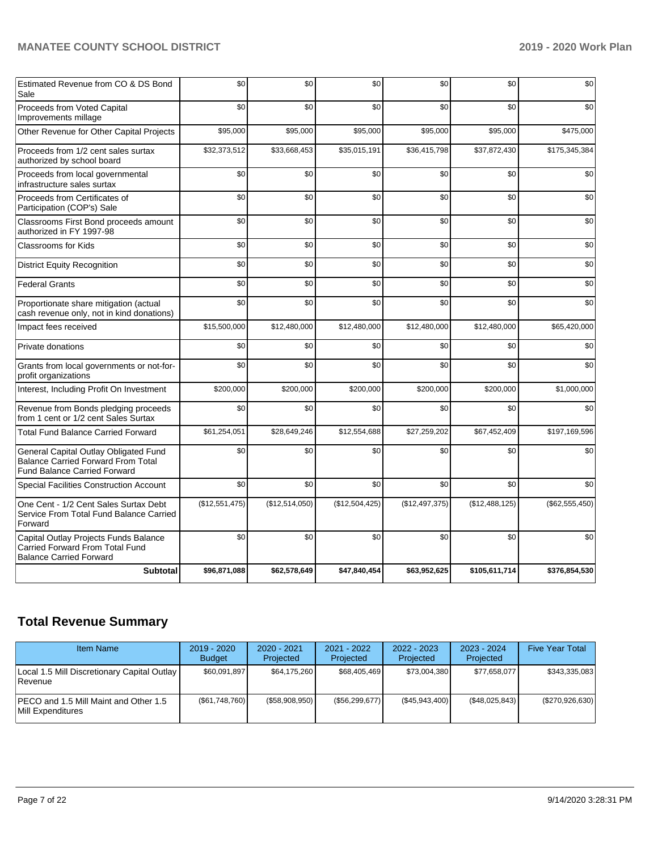| Estimated Revenue from CO & DS Bond<br>Sale                                                                               | \$0            | \$0            | \$0            | \$0            | \$0            | \$0            |
|---------------------------------------------------------------------------------------------------------------------------|----------------|----------------|----------------|----------------|----------------|----------------|
| Proceeds from Voted Capital<br>Improvements millage                                                                       | \$0            | \$0            | \$0            | \$0            | \$0            | \$0            |
| Other Revenue for Other Capital Projects                                                                                  | \$95,000       | \$95,000       | \$95,000       | \$95,000       | \$95,000       | \$475,000      |
| Proceeds from 1/2 cent sales surtax<br>authorized by school board                                                         | \$32,373,512   | \$33,668,453   | \$35,015,191   | \$36,415,798   | \$37,872,430   | \$175,345,384  |
| Proceeds from local governmental<br>infrastructure sales surtax                                                           | \$0            | \$0            | \$0            | \$0            | \$0            | \$0            |
| Proceeds from Certificates of<br>Participation (COP's) Sale                                                               | \$0            | \$0            | \$0            | \$0            | \$0            | \$0            |
| Classrooms First Bond proceeds amount<br>authorized in FY 1997-98                                                         | \$0            | \$0            | \$0            | \$0            | \$0            | \$0            |
| <b>Classrooms for Kids</b>                                                                                                | \$0            | \$0            | \$0            | \$0            | \$0            | \$0            |
| <b>District Equity Recognition</b>                                                                                        | \$0            | \$0            | \$0            | \$0            | \$0            | \$0            |
| <b>Federal Grants</b>                                                                                                     | \$0            | \$0            | \$0            | \$0            | \$0            | \$0            |
| Proportionate share mitigation (actual<br>cash revenue only, not in kind donations)                                       | \$0            | \$0            | \$0            | \$0            | \$0            | \$0            |
| Impact fees received                                                                                                      | \$15,500,000   | \$12,480,000   | \$12,480,000   | \$12,480,000   | \$12,480,000   | \$65,420,000   |
| Private donations                                                                                                         | \$0            | \$0            | \$0            | \$0            | \$0            | \$0            |
| Grants from local governments or not-for-<br>profit organizations                                                         | \$0            | \$0            | \$0            | \$0            | \$0            | \$0            |
| Interest, Including Profit On Investment                                                                                  | \$200,000      | \$200,000      | \$200,000      | \$200,000      | \$200,000      | \$1,000,000    |
| Revenue from Bonds pledging proceeds<br>from 1 cent or 1/2 cent Sales Surtax                                              | \$0            | \$0            | \$0            | \$0            | \$0            | \$0            |
| <b>Total Fund Balance Carried Forward</b>                                                                                 | \$61,254,051   | \$28,649,246   | \$12,554,688   | \$27,259,202   | \$67,452,409   | \$197,169,596  |
| General Capital Outlay Obligated Fund<br><b>Balance Carried Forward From Total</b><br><b>Fund Balance Carried Forward</b> | \$0            | \$0            | \$0            | \$0            | \$0            | \$0            |
| Special Facilities Construction Account                                                                                   | \$0            | \$0            | \$0            | \$0            | \$0            | \$0            |
| One Cent - 1/2 Cent Sales Surtax Debt<br>Service From Total Fund Balance Carried<br>Forward                               | (\$12,551,475) | (\$12,514,050) | (\$12,504,425) | (\$12,497,375) | (\$12,488,125) | (\$62,555,450) |
| Capital Outlay Projects Funds Balance<br>Carried Forward From Total Fund<br><b>Balance Carried Forward</b>                | \$0            | \$0            | \$0            | \$0            | \$0            | \$0            |
| <b>Subtotal</b>                                                                                                           | \$96,871,088   | \$62,578,649   | \$47,840,454   | \$63,952,625   | \$105,611,714  | \$376,854,530  |

# **Total Revenue Summary**

| <b>Item Name</b>                                                | $2019 - 2020$<br><b>Budget</b> | $2020 - 2021$<br>Projected | $2021 - 2022$<br><b>Projected</b> | $2022 - 2023$<br>Projected | $2023 - 2024$<br>Projected | <b>Five Year Total</b> |
|-----------------------------------------------------------------|--------------------------------|----------------------------|-----------------------------------|----------------------------|----------------------------|------------------------|
| Local 1.5 Mill Discretionary Capital Outlay  <br><b>Revenue</b> | \$60.091.897                   | \$64,175,260               | \$68,405,469                      | \$73,004,380               | \$77,658,077               | \$343,335,083          |
| IPECO and 1.5 Mill Maint and Other 1.5<br>Mill Expenditures     | (S61, 748, 760)                | (S58,908,950)              | (\$56, 299, 677)                  | (\$45,943,400)             | (\$48,025,843)             | (\$270,926,630)        |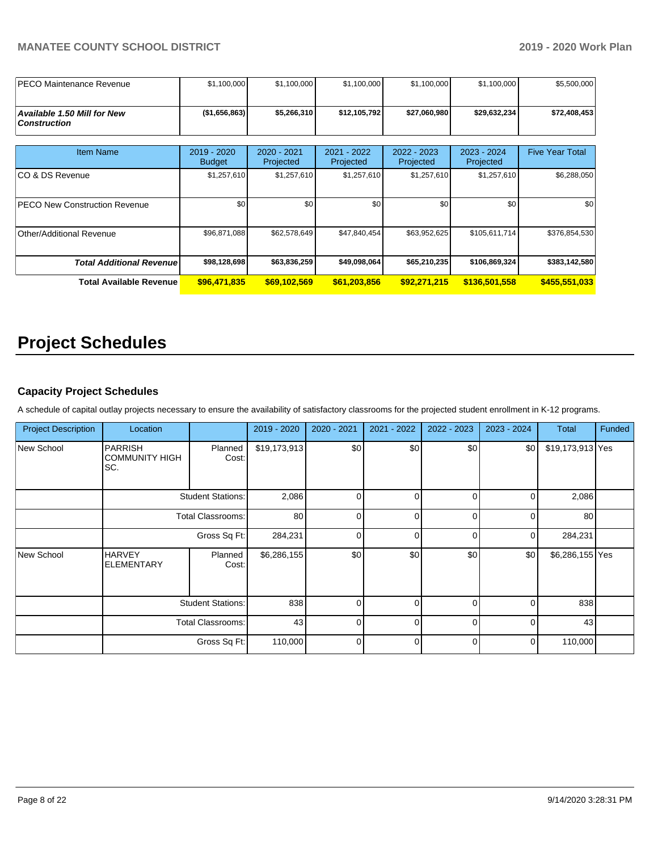| IPECO Maintenance Revenue                          | \$1,100,000                  | \$1,100,000              | \$1,100,000              | \$1,100,000              | \$1,100,000              | \$5,500,000            |
|----------------------------------------------------|------------------------------|--------------------------|--------------------------|--------------------------|--------------------------|------------------------|
| Available 1.50 Mill for New<br><b>Construction</b> | (\$1,656,863)                | \$5,266,310              | \$12,105,792             | \$27,060,980             | \$29,632,234             | \$72,408,453           |
| <b>Item Name</b>                                   | 2019 - 2020<br><b>Budget</b> | 2020 - 2021<br>Projected | 2021 - 2022<br>Projected | 2022 - 2023<br>Projected | 2023 - 2024<br>Projected | <b>Five Year Total</b> |
| ICO & DS Revenue                                   | \$1,257,610                  | \$1,257,610              | \$1,257,610              | \$1,257,610              | \$1,257,610              | \$6,288,050            |
| <b>PECO New Construction Revenue</b>               | \$0                          | \$0                      | \$0                      | \$0                      | \$0                      | \$0                    |
| Other/Additional Revenue                           | \$96,871,088                 | \$62,578,649             | \$47,840,454             | \$63,952,625             | \$105,611,714            | \$376,854,530          |
| <b>Total Additional Revenue</b>                    | \$98,128,698                 | \$63,836,259             | \$49,098,064             | \$65,210,235             | \$106,869,324            | \$383,142,580          |
| Total Available Revenue                            | \$96,471,835                 | \$69,102,569             | \$61,203,856             | \$92,271,215             | \$136,501,558            | \$455,551,033          |

# **Project Schedules**

## **Capacity Project Schedules**

A schedule of capital outlay projects necessary to ensure the availability of satisfactory classrooms for the projected student enrollment in K-12 programs.

| <b>Project Description</b> | Location                                       |                          | 2019 - 2020  | 2020 - 2021 | 2021 - 2022 | 2022 - 2023 | 2023 - 2024 | Total            | Funded |
|----------------------------|------------------------------------------------|--------------------------|--------------|-------------|-------------|-------------|-------------|------------------|--------|
| New School                 | <b>PARRISH</b><br><b>COMMUNITY HIGH</b><br>SC. | Planned<br>Cost:         | \$19,173,913 | \$0         | \$0         | \$0         | \$0         | \$19,173,913 Yes |        |
|                            |                                                | <b>Student Stations:</b> | 2,086        | $\Omega$    | $\Omega$    | $\Omega$    | 0           | 2,086            |        |
|                            | <b>Total Classrooms:</b>                       |                          | 80           | $\Omega$    | $\Omega$    | 0           | 0           | 80               |        |
|                            | Gross Sq Ft:                                   |                          | 284,231      | $\Omega$    | $\Omega$    | $\Omega$    | 0           | 284,231          |        |
| New School                 | <b>HARVEY</b><br><b>ELEMENTARY</b>             | Planned<br>Cost:         | \$6,286,155  | \$0         | \$0         | \$0         | \$0         | \$6,286,155 Yes  |        |
|                            | <b>Student Stations:</b>                       |                          | 838          | $\Omega$    | $\Omega$    | $\Omega$    | $\Omega$    | 838              |        |
|                            | <b>Total Classrooms:</b>                       |                          | 43           | $\Omega$    | $\Omega$    | 0           | $\Omega$    | 43               |        |
|                            |                                                | Gross Sq Ft:             | 110,000      | $\Omega$    | $\Omega$    | $\Omega$    | 0           | 110,000          |        |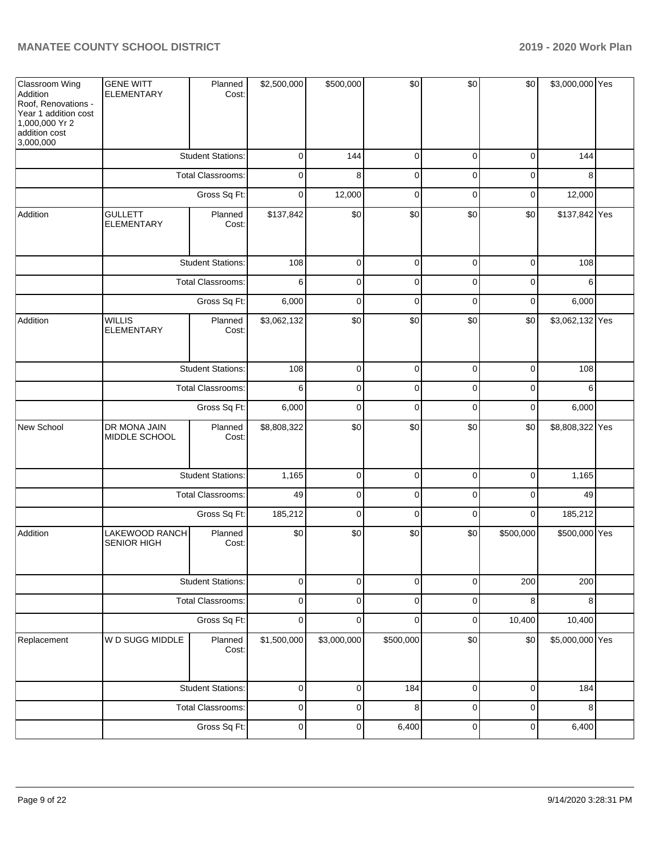| Classroom Wing<br>Addition<br>Roof, Renovations -<br>Year 1 addition cost<br>1,000,000 Yr 2<br>addition cost<br>3,000,000 | <b>GENE WITT</b><br><b>ELEMENTARY</b> | Planned<br>Cost:         | \$2,500,000 | \$500,000   | \$0         | \$0         | \$0         | \$3,000,000 Yes |  |
|---------------------------------------------------------------------------------------------------------------------------|---------------------------------------|--------------------------|-------------|-------------|-------------|-------------|-------------|-----------------|--|
|                                                                                                                           |                                       | <b>Student Stations:</b> | 0           | 144         | $\mathbf 0$ | 0           | $\mathbf 0$ | 144             |  |
|                                                                                                                           |                                       | Total Classrooms:        | 0           | 8           | 0           | $\mathbf 0$ | 0           | 8               |  |
|                                                                                                                           |                                       | Gross Sq Ft:             | 0           | 12,000      | $\mathbf 0$ | 0           | 0           | 12,000          |  |
| Addition                                                                                                                  | <b>GULLETT</b><br><b>ELEMENTARY</b>   | Planned<br>Cost:         | \$137,842   | \$0         | \$0         | \$0         | \$0         | \$137,842 Yes   |  |
|                                                                                                                           |                                       | <b>Student Stations:</b> | 108         | $\mathbf 0$ | $\mathbf 0$ | $\mathbf 0$ | $\mathbf 0$ | 108             |  |
|                                                                                                                           |                                       | Total Classrooms:        | 6           | $\mathbf 0$ | $\mathbf 0$ | $\mathbf 0$ | $\mathbf 0$ | 6               |  |
|                                                                                                                           |                                       | Gross Sq Ft:             | 6,000       | $\mathbf 0$ | $\mathbf 0$ | $\mathbf 0$ | $\mathbf 0$ | 6,000           |  |
| Addition                                                                                                                  | <b>WILLIS</b><br><b>ELEMENTARY</b>    | Planned<br>Cost:         | \$3,062,132 | \$0         | \$0         | \$0         | \$0         | \$3,062,132 Yes |  |
|                                                                                                                           |                                       | <b>Student Stations:</b> | 108         | 0           | $\mathbf 0$ | $\mathbf 0$ | $\mathbf 0$ | 108             |  |
|                                                                                                                           | Total Classrooms:                     |                          | 6           | 0           | $\mathbf 0$ | 0           | 0           | 6               |  |
|                                                                                                                           |                                       | 6,000                    | $\mathbf 0$ | 0           | 0           | 0           | 6,000       |                 |  |
| New School                                                                                                                | DR MONA JAIN<br>MIDDLE SCHOOL         | Planned<br>Cost:         | \$8,808,322 | \$0         | \$0         | \$0         | \$0         | \$8,808,322 Yes |  |
|                                                                                                                           |                                       | <b>Student Stations:</b> | 1,165       | $\mathbf 0$ | $\mathbf 0$ | $\mathbf 0$ | $\mathbf 0$ | 1,165           |  |
|                                                                                                                           |                                       | Total Classrooms:        | 49          | $\mathbf 0$ | $\mathbf 0$ | $\mathbf 0$ | $\mathbf 0$ | 49              |  |
|                                                                                                                           |                                       | Gross Sq Ft:             | 185,212     | $\mathbf 0$ | $\mathbf 0$ | $\mathbf 0$ | $\mathbf 0$ | 185,212         |  |
| Addition                                                                                                                  | LAKEWOOD RANCH<br><b>SENIOR HIGH</b>  | Planned<br>Cost:         | \$0         | \$0         | \$0         | \$0         | \$500,000   | \$500,000 Yes   |  |
|                                                                                                                           |                                       | <b>Student Stations:</b> | $\mathbf 0$ | 0           | $\mathbf 0$ | 0           | 200         | 200             |  |
|                                                                                                                           |                                       | <b>Total Classrooms:</b> | $\mathbf 0$ | $\mathbf 0$ | $\mathbf 0$ | $\mathbf 0$ | 8           | 8               |  |
|                                                                                                                           |                                       | Gross Sq Ft:             | $\mathbf 0$ | 0           | 0           | $\mathbf 0$ | 10,400      | 10,400          |  |
| Replacement                                                                                                               | W D SUGG MIDDLE                       | Planned<br>Cost:         | \$1,500,000 | \$3,000,000 | \$500,000   | \$0         | \$0         | \$5,000,000 Yes |  |
|                                                                                                                           |                                       | <b>Student Stations:</b> | $\mathbf 0$ | $\mathbf 0$ | 184         | $\mathbf 0$ | $\mathbf 0$ | 184             |  |
|                                                                                                                           |                                       | Total Classrooms:        | $\mathbf 0$ | $\mathbf 0$ | 8           | $\mathbf 0$ | $\mathbf 0$ | 8               |  |
|                                                                                                                           |                                       | Gross Sq Ft:             | $\pmb{0}$   | $\pmb{0}$   | 6,400       | $\mathbf 0$ | $\pmb{0}$   | 6,400           |  |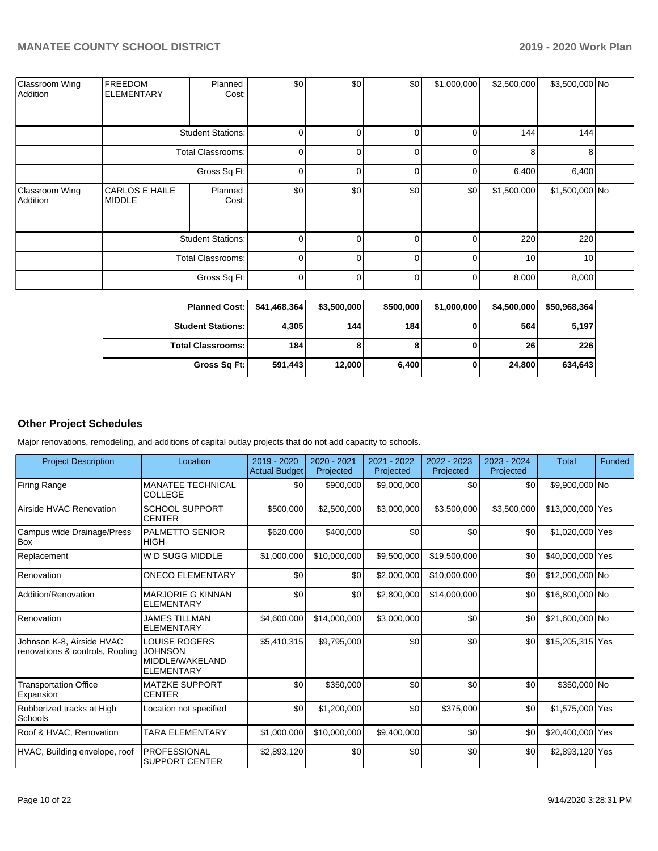| Classroom Wing<br>Addition | <b>FREEDOM</b><br><b>ELEMENTARY</b>    | Planned<br>Cost:         | \$0      | \$0 | \$0      | \$1,000,000 | \$2,500,000 | \$3,500,000 No |  |
|----------------------------|----------------------------------------|--------------------------|----------|-----|----------|-------------|-------------|----------------|--|
|                            |                                        | <b>Student Stations:</b> | $\Omega$ |     | $\Omega$ |             | 144         | 144            |  |
|                            |                                        | Total Classrooms:        | $\Omega$ |     | $\Omega$ | $\Omega$    | 8           | 8              |  |
|                            |                                        | Gross Sq Ft:             | $\Omega$ |     | $\Omega$ | $\Omega$    | 6,400       | 6,400          |  |
| Classroom Wing<br>Addition | <b>CARLOS E HAILE</b><br><b>MIDDLE</b> | Planned<br>Cost:         | \$0      | \$0 | \$0      | \$0         | \$1,500,000 | \$1,500,000 No |  |
|                            | <b>Student Stations:</b>               |                          | $\Omega$ |     |          | O           | 220         | 220            |  |
|                            | <b>Total Classrooms:</b>               |                          | $\Omega$ | ∩   | $\Omega$ | U           | 10          | 10             |  |
|                            |                                        | Gross Sq Ft:             | $\Omega$ |     | $\Omega$ | 0           | 8,000       | 8,000          |  |

| <b>Planned Cost:</b>     | \$41,468,364 | \$3,500,000 | \$500,000 | \$1,000,000 | \$4,500,000     | \$50,968,364 |
|--------------------------|--------------|-------------|-----------|-------------|-----------------|--------------|
| <b>Student Stations:</b> | 4,305        | 144         | 184       |             | 564             | 5,197        |
| <b>Total Classrooms:</b> | 184          | 8           |           |             | 26 <sup>1</sup> | 226          |
| Gross Sq Ft:             | 591,443      | 12,000      | 6,400     |             | 24.800          | 634,643      |

### **Other Project Schedules**

Major renovations, remodeling, and additions of capital outlay projects that do not add capacity to schools.

| <b>Project Description</b>                                   | Location                                                                       | $2019 - 2020$<br><b>Actual Budget</b> | 2020 - 2021<br>Projected | 2021 - 2022<br>Projected | 2022 - 2023<br>Projected | $2023 - 2024$<br>Projected | <b>Total</b>     | Funded |
|--------------------------------------------------------------|--------------------------------------------------------------------------------|---------------------------------------|--------------------------|--------------------------|--------------------------|----------------------------|------------------|--------|
| <b>Firing Range</b>                                          | MANATEE TECHNICAL<br><b>COLLEGE</b>                                            | \$0                                   | \$900,000                | \$9,000,000              | \$0                      | \$0                        | \$9,900,000 No   |        |
| Airside HVAC Renovation                                      | <b>SCHOOL SUPPORT</b><br><b>CENTER</b>                                         | \$500,000                             | \$2,500,000              | \$3,000,000              | \$3,500,000              | \$3,500,000                | \$13,000,000 Yes |        |
| Campus wide Drainage/Press<br><b>Box</b>                     | <b>PALMETTO SENIOR</b><br><b>HIGH</b>                                          | \$620,000                             | \$400,000                | \$0                      | \$0                      | \$0                        | \$1,020,000 Yes  |        |
| Replacement                                                  | W D SUGG MIDDLE                                                                | \$1,000,000                           | \$10.000.000             | \$9,500,000              | \$19,500,000             | \$0                        | \$40,000,000 Yes |        |
| Renovation                                                   | <b>ONECO ELEMENTARY</b>                                                        | \$0                                   | \$0                      | \$2,000,000              | \$10,000,000             | \$0                        | \$12,000,000 No  |        |
| Addition/Renovation                                          | <b>MARJORIE G KINNAN</b><br><b>ELEMENTARY</b>                                  | \$0                                   | \$0                      | \$2,800,000              | \$14,000,000             | \$0                        | \$16,800,000 No  |        |
| Renovation                                                   | <b>JAMES TILLMAN</b><br><b>ELEMENTARY</b>                                      | \$4,600,000                           | \$14,000,000             | \$3,000,000              | \$0                      | \$0                        | \$21,600,000 No  |        |
| Johnson K-8, Airside HVAC<br>renovations & controls, Roofing | <b>LOUISE ROGERS</b><br><b>JOHNSON</b><br>MIDDLE/WAKELAND<br><b>ELEMENTARY</b> | \$5.410.315                           | \$9,795,000              | \$0                      | \$0                      | \$0                        | \$15,205,315 Yes |        |
| <b>Transportation Office</b><br>Expansion                    | <b>MATZKE SUPPORT</b><br><b>CENTER</b>                                         | \$0                                   | \$350,000                | \$0                      | \$0                      | \$0                        | \$350,000 No     |        |
| Rubberized tracks at High<br>Schools                         | Location not specified                                                         | \$0                                   | \$1,200,000              | \$0                      | \$375,000                | \$0                        | \$1,575,000 Yes  |        |
| Roof & HVAC, Renovation                                      | <b>TARA ELEMENTARY</b>                                                         | \$1,000,000                           | \$10.000.000             | \$9,400,000              | \$0                      | \$0                        | \$20,400,000 Yes |        |
| HVAC, Building envelope, roof                                | <b>PROFESSIONAL</b><br><b>SUPPORT CENTER</b>                                   | \$2,893,120                           | \$0                      | \$0                      | \$0                      | \$0                        | \$2,893,120 Yes  |        |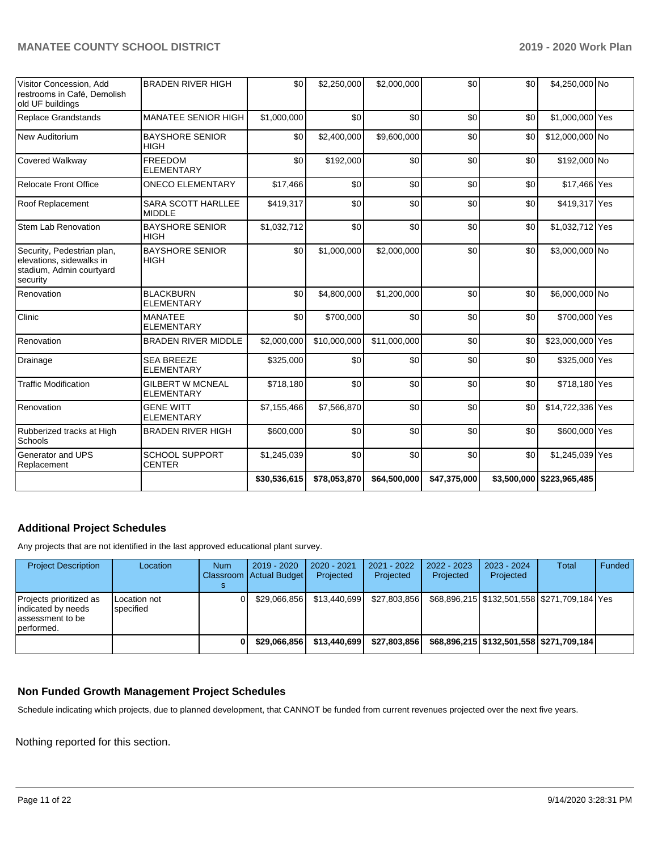| Visitor Concession, Add<br>restrooms in Café, Demolish<br>old UF buildings                     | <b>BRADEN RIVER HIGH</b>                     | \$0          | \$2,250,000  | \$2,000,000  | \$0          | \$0 | \$4,250,000 No            |  |
|------------------------------------------------------------------------------------------------|----------------------------------------------|--------------|--------------|--------------|--------------|-----|---------------------------|--|
| Replace Grandstands                                                                            | <b>MANATEE SENIOR HIGH</b>                   | \$1,000,000  | \$0          | \$0          | \$0          | \$0 | \$1,000,000 Yes           |  |
| New Auditorium                                                                                 | <b>BAYSHORE SENIOR</b><br><b>HIGH</b>        | \$0          | \$2,400,000  | \$9,600,000  | \$0          | \$0 | \$12,000,000 No           |  |
| Covered Walkway                                                                                | <b>FREEDOM</b><br><b>ELEMENTARY</b>          | \$0          | \$192,000    | \$0          | \$0          | \$0 | \$192,000 No              |  |
| <b>Relocate Front Office</b>                                                                   | <b>ONECO ELEMENTARY</b>                      | \$17,466     | \$0          | \$0          | \$0          | \$0 | \$17,466 Yes              |  |
| Roof Replacement                                                                               | <b>SARA SCOTT HARLLEE</b><br><b>MIDDLE</b>   | \$419,317    | \$0          | \$0          | \$0          | \$0 | \$419,317 Yes             |  |
| <b>Stem Lab Renovation</b>                                                                     | <b>BAYSHORE SENIOR</b><br><b>HIGH</b>        | \$1,032,712  | \$0          | \$0          | \$0          | \$0 | \$1,032,712 Yes           |  |
| Security, Pedestrian plan,<br>elevations, sidewalks in<br>stadium, Admin courtyard<br>security | <b>BAYSHORE SENIOR</b><br><b>HIGH</b>        | \$0          | \$1,000,000  | \$2,000,000  | \$0          | \$0 | \$3,000,000 No            |  |
| Renovation                                                                                     | <b>BLACKBURN</b><br><b>ELEMENTARY</b>        | \$0          | \$4,800,000  | \$1,200,000  | \$0          | \$0 | \$6,000,000 No            |  |
| Clinic                                                                                         | <b>MANATEE</b><br><b>ELEMENTARY</b>          | \$0          | \$700,000    | \$0          | \$0          | \$0 | \$700,000 Yes             |  |
| Renovation                                                                                     | <b>BRADEN RIVER MIDDLE</b>                   | \$2,000,000  | \$10,000,000 | \$11,000,000 | \$0          | \$0 | \$23,000,000 Yes          |  |
| Drainage                                                                                       | <b>SEA BREEZE</b><br><b>ELEMENTARY</b>       | \$325,000    | \$0          | \$0          | \$0          | \$0 | \$325,000 Yes             |  |
| <b>Traffic Modification</b>                                                                    | <b>GILBERT W MCNEAL</b><br><b>ELEMENTARY</b> | \$718,180    | \$0          | \$0          | \$0          | \$0 | \$718,180 Yes             |  |
| Renovation                                                                                     | <b>GENE WITT</b><br><b>ELEMENTARY</b>        | \$7,155,466  | \$7,566,870  | \$0          | \$0          | \$0 | \$14,722,336 Yes          |  |
| Rubberized tracks at High<br>Schools                                                           | <b>BRADEN RIVER HIGH</b>                     | \$600,000    | \$0          | \$0          | \$0          | \$0 | \$600,000 Yes             |  |
| Generator and UPS<br>Replacement                                                               | <b>SCHOOL SUPPORT</b><br><b>CENTER</b>       | \$1,245,039  | \$0          | \$0          | \$0          | \$0 | \$1,245,039 Yes           |  |
|                                                                                                |                                              | \$30,536,615 | \$78,053,870 | \$64,500,000 | \$47,375,000 |     | \$3,500,000 \$223,965,485 |  |

# **Additional Project Schedules**

Any projects that are not identified in the last approved educational plant survey.

| <b>Project Description</b>                                                        | Location                  | <b>Num</b> | $2019 - 2020$<br>Classroom Actual Budget | 2020 - 2021<br>Projected | 2021 - 2022<br>Projected | 2022 - 2023<br>Projected | 2023 - 2024<br>Projected | <b>Total</b>                                       | Funded |
|-----------------------------------------------------------------------------------|---------------------------|------------|------------------------------------------|--------------------------|--------------------------|--------------------------|--------------------------|----------------------------------------------------|--------|
| Projects prioritized as<br>indicated by needs<br>lassessment to be<br>lperformed. | Location not<br>specified |            | \$29.066.856                             | \$13.440.699             | \$27.803.856             |                          |                          | \$68,896,215   \$132,501,558   \$271,709,184   Yes |        |
|                                                                                   |                           |            | \$29.066.856                             | \$13,440,699             | \$27.803.856             |                          |                          | \$68,896,215   \$132,501,558   \$271,709,184       |        |

# **Non Funded Growth Management Project Schedules**

Schedule indicating which projects, due to planned development, that CANNOT be funded from current revenues projected over the next five years.

Nothing reported for this section.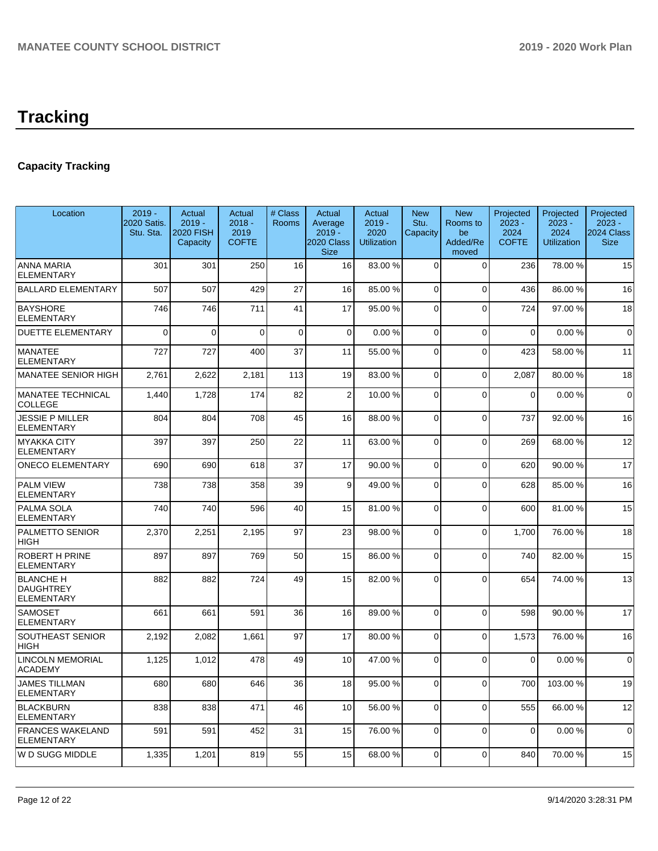# **Tracking**

# **Capacity Tracking**

| Location                                           | $2019 -$<br>2020 Satis.<br>Stu. Sta. | Actual<br>$2019 -$<br><b>2020 FISH</b><br>Capacity | Actual<br>$2018 -$<br>2019<br><b>COFTE</b> | # Class<br>Rooms | Actual<br>Average<br>$2019 -$<br>2020 Class<br><b>Size</b> | Actual<br>$2019 -$<br>2020<br><b>Utilization</b> | <b>New</b><br>Stu.<br>Capacity | <b>New</b><br>Rooms to<br>be<br>Added/Re<br>moved | Projected<br>$2023 -$<br>2024<br><b>COFTE</b> | Projected<br>$2023 -$<br>2024<br><b>Utilization</b> | Projected<br>$2023 -$<br>2024 Class<br><b>Size</b> |
|----------------------------------------------------|--------------------------------------|----------------------------------------------------|--------------------------------------------|------------------|------------------------------------------------------------|--------------------------------------------------|--------------------------------|---------------------------------------------------|-----------------------------------------------|-----------------------------------------------------|----------------------------------------------------|
| <b>ANNA MARIA</b><br><b>ELEMENTARY</b>             | 301                                  | 301                                                | 250                                        | 16               | 16                                                         | 83.00 %                                          | $\Omega$                       | $\Omega$                                          | 236                                           | 78.00 %                                             | 15                                                 |
| <b>BALLARD ELEMENTARY</b>                          | 507                                  | 507                                                | 429                                        | 27               | 16                                                         | 85.00 %                                          | $\Omega$                       | $\Omega$                                          | 436                                           | 86.00 %                                             | 16                                                 |
| <b>BAYSHORE</b><br><b>ELEMENTARY</b>               | 746                                  | 746                                                | 711                                        | 41               | 17                                                         | 95.00 %                                          | $\Omega$                       | $\Omega$                                          | 724                                           | 97.00 %                                             | 18                                                 |
| <b>DUETTE ELEMENTARY</b>                           | $\mathbf{0}$                         | $\Omega$                                           | $\Omega$                                   | $\mathbf 0$      | $\overline{0}$                                             | 0.00%                                            | $\Omega$                       | $\Omega$                                          | 0                                             | 0.00%                                               | $\mathbf 0$                                        |
| <b>MANATEE</b><br><b>ELEMENTARY</b>                | 727                                  | 727                                                | 400                                        | 37               | 11                                                         | 55.00 %                                          | $\Omega$                       | $\Omega$                                          | 423                                           | 58.00 %                                             | 11                                                 |
| MANATEE SENIOR HIGH                                | 2,761                                | 2,622                                              | 2,181                                      | 113              | 19                                                         | 83.00 %                                          | $\Omega$                       | $\Omega$                                          | 2,087                                         | 80.00%                                              | 18                                                 |
| MANATEE TECHNICAL<br><b>COLLEGE</b>                | 1,440                                | 1,728                                              | 174                                        | 82               | $\overline{2}$                                             | 10.00%                                           | $\Omega$                       | $\Omega$                                          | $\mathbf{0}$                                  | 0.00%                                               | $\mathbf 0$                                        |
| <b>JESSIE P MILLER</b><br><b>ELEMENTARY</b>        | 804                                  | 804                                                | 708                                        | 45               | 16                                                         | 88.00 %                                          | $\Omega$                       | $\Omega$                                          | 737                                           | 92.00 %                                             | 16                                                 |
| <b>IMYAKKA CITY</b><br><b>ELEMENTARY</b>           | 397                                  | 397                                                | 250                                        | 22               | 11                                                         | 63.00 %                                          | $\Omega$                       | $\Omega$                                          | 269                                           | 68.00 %                                             | 12                                                 |
| <b>ONECO ELEMENTARY</b>                            | 690                                  | 690                                                | 618                                        | 37               | 17                                                         | 90.00 %                                          | $\Omega$                       | $\Omega$                                          | 620                                           | 90.00 %                                             | 17                                                 |
| <b>PALM VIEW</b><br>ELEMENTARY                     | 738                                  | 738                                                | 358                                        | 39               | 9                                                          | 49.00 %                                          | $\Omega$                       | $\Omega$                                          | 628                                           | 85.00 %                                             | 16                                                 |
| PALMA SOLA<br><b>ELEMENTARY</b>                    | 740                                  | 740                                                | 596                                        | 40               | 15                                                         | 81.00%                                           | $\Omega$                       | $\Omega$                                          | 600                                           | 81.00%                                              | 15                                                 |
| <b>PALMETTO SENIOR</b><br>HIGH                     | 2,370                                | 2,251                                              | 2,195                                      | 97               | 23                                                         | 98.00 %                                          | $\Omega$                       | $\Omega$                                          | 1,700                                         | 76.00 %                                             | 18                                                 |
| <b>ROBERT H PRINE</b><br>ELEMENTARY                | 897                                  | 897                                                | 769                                        | 50               | 15                                                         | 86.00 %                                          | $\Omega$                       | $\Omega$                                          | 740                                           | 82.00 %                                             | 15                                                 |
| <b>BLANCHE H</b><br>DAUGHTREY<br><b>ELEMENTARY</b> | 882                                  | 882                                                | 724                                        | 49               | 15                                                         | 82.00 %                                          | $\Omega$                       | $\Omega$                                          | 654                                           | 74.00 %                                             | 13                                                 |
| <b>SAMOSET</b><br><b>ELEMENTARY</b>                | 661                                  | 661                                                | 591                                        | 36               | 16                                                         | 89.00 %                                          | $\Omega$                       | $\Omega$                                          | 598                                           | 90.00 %                                             | 17                                                 |
| <b>SOUTHEAST SENIOR</b><br><b>HIGH</b>             | 2,192                                | 2,082                                              | 1,661                                      | 97               | 17                                                         | 80.00%                                           | $\Omega$                       | $\Omega$                                          | 1,573                                         | 76.00 %                                             | 16                                                 |
| <b>LINCOLN MEMORIAL</b><br><b>ACADEMY</b>          | 1,125                                | 1,012                                              | 478                                        | 49               | 10                                                         | 47.00 %                                          | $\Omega$                       | $\Omega$                                          | 0                                             | 0.00%                                               | $\mathbf 0$                                        |
| <b>JAMES TILLMAN</b><br>ELEMENTARY                 | 680                                  | 680                                                | 646                                        | 36               | 18 <sup>1</sup>                                            | 95.00 %                                          | $\Omega$                       | $\Omega$                                          | 700 l                                         | 103.00%                                             | 19                                                 |
| BLACKBURN<br><b>ELEMENTARY</b>                     | 838                                  | 838                                                | 471                                        | 46               | 10                                                         | 56.00 %                                          | $\overline{0}$                 | $\mathbf 0$                                       | 555                                           | 66.00 %                                             | 12                                                 |
| <b>FRANCES WAKELAND</b><br><b>IELEMENTARY</b>      | 591                                  | 591                                                | 452                                        | 31               | 15                                                         | 76.00 %                                          | $\overline{0}$                 | $\mathbf 0$                                       | 0                                             | 0.00%                                               | 0                                                  |
| W D SUGG MIDDLE                                    | 1,335                                | 1,201                                              | 819                                        | 55               | 15                                                         | 68.00 %                                          | $\overline{0}$                 | 0                                                 | 840                                           | 70.00 %                                             | 15                                                 |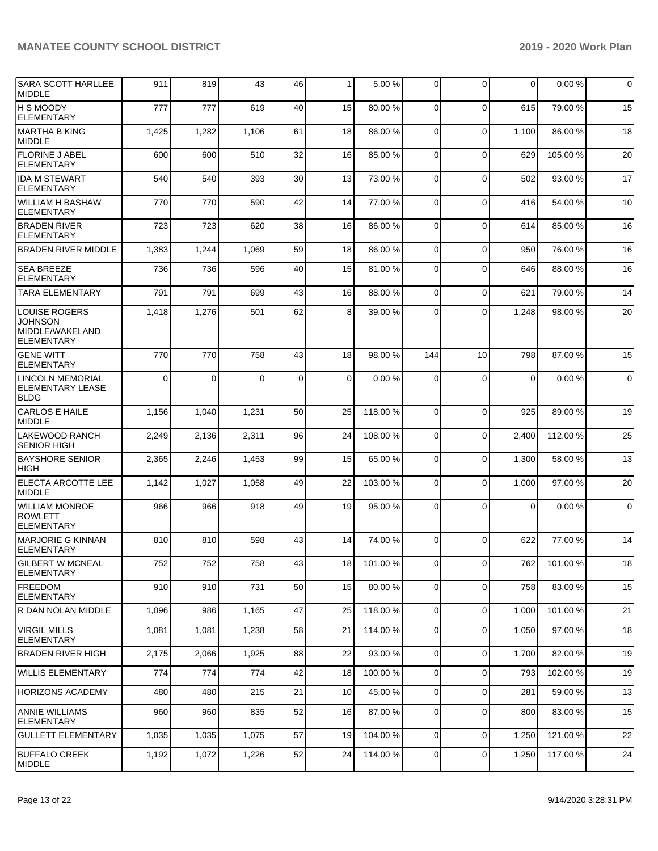| <b>SARA SCOTT HARLLEE</b><br><b>IMIDDLE</b>                                    | 911      | 819   | 43       | 46          | $\mathbf{1}$    | 5.00 %   | 0           | $\Omega$       | 0        | 0.00%    | $\mathbf 0$ |
|--------------------------------------------------------------------------------|----------|-------|----------|-------------|-----------------|----------|-------------|----------------|----------|----------|-------------|
| <b>H S MOODY</b><br><b>ELEMENTARY</b>                                          | 777      | 777   | 619      | 40          | 15              | 80.00%   | $\Omega$    | $\Omega$       | 615      | 79.00 %  | 15          |
| MARTHA B KING<br><b>MIDDLE</b>                                                 | 1,425    | 1,282 | 1,106    | 61          | 18              | 86.00 %  | $\Omega$    | $\Omega$       | 1,100    | 86.00 %  | 18          |
| <b>FLORINE J ABEL</b><br><b>ELEMENTARY</b>                                     | 600      | 600   | 510      | 32          | 16              | 85.00 %  | 0           | $\Omega$       | 629      | 105.00%  | 20          |
| <b>IDA M STEWART</b><br><b>ELEMENTARY</b>                                      | 540      | 540   | 393      | 30          | 13              | 73.00 %  | $\Omega$    | $\Omega$       | 502      | 93.00 %  | 17          |
| WILLIAM H BASHAW<br><b>ELEMENTARY</b>                                          | 770      | 770   | 590      | 42          | 14              | 77.00 %  | $\Omega$    | $\Omega$       | 416      | 54.00 %  | 10          |
| <b>BRADEN RIVER</b><br><b>ELEMENTARY</b>                                       | 723      | 723   | 620      | 38          | 16              | 86.00 %  | 0           | $\mathbf 0$    | 614      | 85.00 %  | 16          |
| <b>BRADEN RIVER MIDDLE</b>                                                     | 1,383    | 1,244 | 1,069    | 59          | 18              | 86.00%   | $\Omega$    | $\Omega$       | 950      | 76.00 %  | 16          |
| <b>SEA BREEZE</b><br><b>ELEMENTARY</b>                                         | 736      | 736   | 596      | 40          | 15              | 81.00%   | $\Omega$    | $\Omega$       | 646      | 88.00 %  | 16          |
| <b>TARA ELEMENTARY</b>                                                         | 791      | 791   | 699      | 43          | 16              | 88.00 %  | $\Omega$    | $\Omega$       | 621      | 79.00 %  | 14          |
| <b>LOUISE ROGERS</b><br><b>JOHNSON</b><br>MIDDLE/WAKELAND<br><b>ELEMENTARY</b> | 1,418    | 1,276 | 501      | 62          | 8               | 39.00 %  | $\Omega$    | $\Omega$       | 1,248    | 98.00 %  | 20          |
| <b>GENE WITT</b><br><b>ELEMENTARY</b>                                          | 770      | 770   | 758      | 43          | 18              | 98.00 %  | 144         | 10             | 798      | 87.00 %  | 15          |
| <b>LINCOLN MEMORIAL</b><br><b>ELEMENTARY LEASE</b><br> BLDG                    | $\Omega$ | 0     | $\Omega$ | $\mathbf 0$ | $\Omega$        | 0.00%    | $\Omega$    | $\Omega$       | $\Omega$ | 0.00%    | $\mathbf 0$ |
| CARLOS E HAILE<br><b>MIDDLE</b>                                                | 1,156    | 1,040 | 1,231    | 50          | 25              | 118.00 % | $\Omega$    | $\Omega$       | 925      | 89.00 %  | 19          |
| LAKEWOOD RANCH<br><b>SENIOR HIGH</b>                                           | 2,249    | 2,136 | 2,311    | 96          | 24              | 108.00%  | 0           | $\Omega$       | 2,400    | 112.00%  | 25          |
| <b>BAYSHORE SENIOR</b><br><b>HIGH</b>                                          | 2,365    | 2,246 | 1,453    | 99          | 15              | 65.00 %  | $\Omega$    | $\Omega$       | 1,300    | 58.00 %  | 13          |
| ELECTA ARCOTTE LEE<br>MIDDLE                                                   | 1,142    | 1,027 | 1,058    | 49          | 22              | 103.00 % | $\Omega$    | $\Omega$       | 1,000    | 97.00 %  | 20          |
| <b>WILLIAM MONROE</b><br><b>ROWLETT</b><br><b>ELEMENTARY</b>                   | 966      | 966   | 918      | 49          | 19              | 95.00 %  | $\Omega$    | $\Omega$       | 0        | 0.00%    | 0           |
| MARJORIE G KINNAN<br><b>ELEMENTARY</b>                                         | 810      | 810   | 598      | 43          | 14              | 74.00 %  | 0           | $\Omega$       | 622      | 77.00 %  | 14          |
| <b>GILBERT W MCNEAL</b><br><b>ELEMENTARY</b>                                   | 752      | 752   | 758      | 43          | 18 <sup>l</sup> | 101.00 % | 01          | $\overline{0}$ | 762      | 101.00 % | 18          |
| FREEDOM<br><b>ELEMENTARY</b>                                                   | 910      | 910   | 731      | 50          | 15              | 80.00%   | 0           | $\mathbf 0$    | 758      | 83.00 %  | 15          |
| IR DAN NOLAN MIDDLE                                                            | 1,096    | 986   | 1,165    | 47          | 25              | 118.00%  | 0           | $\mathbf 0$    | 1,000    | 101.00%  | 21          |
| VIRGIL MILLS<br><b>ELEMENTARY</b>                                              | 1,081    | 1,081 | 1,238    | 58          | 21              | 114.00%  | 0           | $\mathbf 0$    | 1,050    | 97.00 %  | 18          |
| <b>BRADEN RIVER HIGH</b>                                                       | 2.175    | 2,066 | 1,925    | 88          | 22              | 93.00 %  | 0           | $\Omega$       | 1,700    | 82.00%   | 19          |
| <b>WILLIS ELEMENTARY</b>                                                       | 774      | 774   | 774      | 42          | 18              | 100.00%  | $\mathbf 0$ | $\Omega$       | 793      | 102.00%  | 19          |
| <b>HORIZONS ACADEMY</b>                                                        | 480      | 480   | 215      | 21          | 10              | 45.00 %  | $\mathbf 0$ | $\Omega$       | 281      | 59.00 %  | 13          |
| <b>ANNIE WILLIAMS</b><br><b>ELEMENTARY</b>                                     | 960      | 960   | 835      | 52          | 16              | 87.00 %  | $\mathbf 0$ | $\Omega$       | 800      | 83.00 %  | 15          |
| <b>GULLETT ELEMENTARY</b>                                                      | 1,035    | 1,035 | 1,075    | 57          | 19              | 104.00%  | 0           | $\mathbf 0$    | 1,250    | 121.00%  | 22          |
| <b>BUFFALO CREEK</b><br>MIDDLE                                                 | 1,192    | 1,072 | 1,226    | 52          | 24              | 114.00%  | 0           | 0              | 1,250    | 117.00 % | 24          |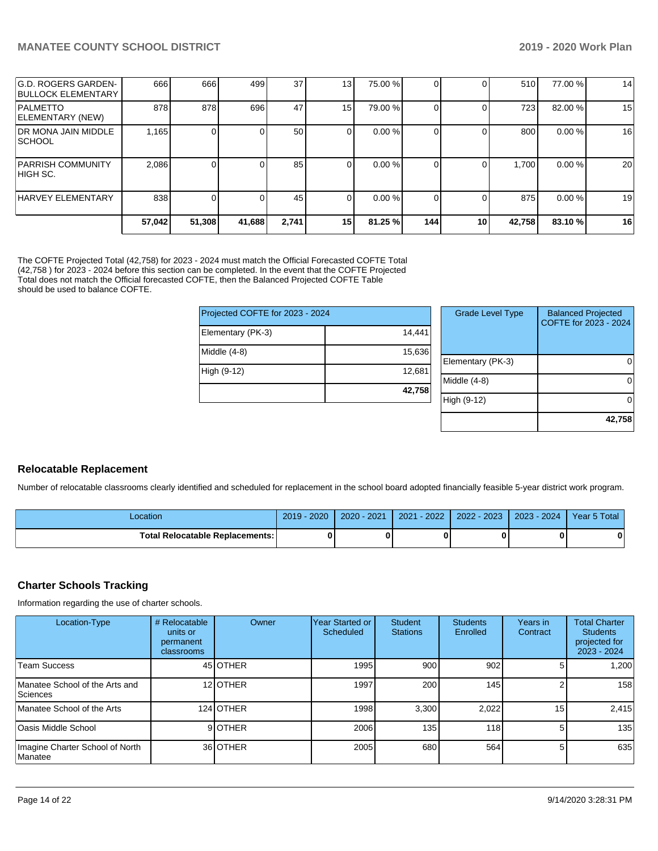| G.D. ROGERS GARDEN-<br><b>BULLOCK ELEMENTARY</b> | 666    | 666    | 499    | 37 <sub>l</sub> | 13              | 75.00 % |     |    | 510    | 77.00 % | 14 |
|--------------------------------------------------|--------|--------|--------|-----------------|-----------------|---------|-----|----|--------|---------|----|
| <b>PALMETTO</b><br>ELEMENTARY (NEW)              | 878    | 878    | 696    | 47              | 15 <sup>1</sup> | 79.00 % |     |    | 723    | 82.00 % | 15 |
| <b>IDR MONA JAIN MIDDLE</b><br> SCHOOL           | 1,165  |        |        | 50              |                 | 0.00%   |     |    | 800    | 0.00%   | 16 |
| <b>PARRISH COMMUNITY</b><br>IHIGH SC.            | 2,086  |        |        | 85              | $\Omega$        | 0.00%   |     |    | 1,700  | 0.00 %  | 20 |
| HARVEY ELEMENTARY                                | 838    |        |        | 45              |                 | 0.00%   |     |    | 875    | 0.00%   | 19 |
|                                                  | 57.042 | 51,308 | 41,688 | 2,741           | 15 <sub>l</sub> | 81.25 % | 144 | 10 | 42,758 | 83.10 % | 16 |

The COFTE Projected Total (42,758) for 2023 - 2024 must match the Official Forecasted COFTE Total (42,758 ) for 2023 - 2024 before this section can be completed. In the event that the COFTE Projected Total does not match the Official forecasted COFTE, then the Balanced Projected COFTE Table should be used to balance COFTE.

| Projected COFTE for 2023 - 2024 |        |     |  |
|---------------------------------|--------|-----|--|
| Elementary (PK-3)               | 14,441 |     |  |
| Middle (4-8)                    | 15,636 | Ele |  |
| High (9-12)                     | 12,681 | Mi  |  |
|                                 | 42,758 | Hic |  |

| <b>Grade Level Type</b> | <b>Balanced Projected</b><br>COFTE for 2023 - 2024 |
|-------------------------|----------------------------------------------------|
| Elementary (PK-3)       |                                                    |
| Middle $(4-8)$          |                                                    |
| High (9-12)             |                                                    |
|                         | 42,758                                             |

### **Relocatable Replacement**

Number of relocatable classrooms clearly identified and scheduled for replacement in the school board adopted financially feasible 5-year district work program.

| Location                                 | $-2020$<br>2019 | $-2021$<br>$2020 - 1$ | $-2022$<br>2021 | 2022 - 2023 | $3 - 2024$<br>2023 | Year 5 Total |
|------------------------------------------|-----------------|-----------------------|-----------------|-------------|--------------------|--------------|
| <b>Total Relocatable Replacements: I</b> |                 |                       |                 |             |                    | 0            |

### **Charter Schools Tracking**

Information regarding the use of charter schools.

| Location-Type                                     | # Relocatable<br>units or<br>permanent<br>classrooms | Owner     | Year Started or<br>Scheduled | Student<br><b>Stations</b> | <b>Students</b><br>Enrolled | Years in<br>Contract | <b>Total Charter</b><br><b>Students</b><br>projected for<br>2023 - 2024 |
|---------------------------------------------------|------------------------------------------------------|-----------|------------------------------|----------------------------|-----------------------------|----------------------|-------------------------------------------------------------------------|
| Team Success                                      |                                                      | 45 OTHER  | 1995                         | 900                        | 902                         |                      | 1.200                                                                   |
| Manatee School of the Arts and<br>Sciences        |                                                      | 12 OTHER  | 1997                         | 200                        | 145                         |                      | 158                                                                     |
| Manatee School of the Arts                        |                                                      | 124 OTHER | 1998                         | 3.300                      | 2.022                       | 15                   | 2.415                                                                   |
| Oasis Middle School                               |                                                      | 9OTHER    | 2006                         | 135                        | 118 <b>1</b>                | 5                    | 135                                                                     |
| Imagine Charter School of North<br><b>Manatee</b> |                                                      | 36 OTHER  | 2005                         | 680                        | 564                         | 5                    | 635                                                                     |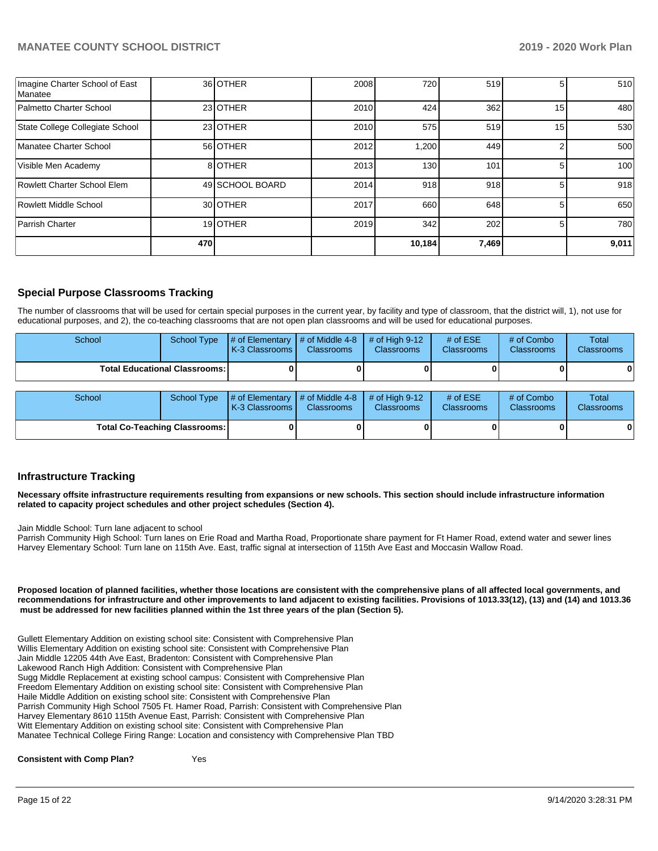| Imagine Charter School of East<br>Manatee |     | 36 OTHER        | 2008 | 720    | 519   | 5.              | 510   |
|-------------------------------------------|-----|-----------------|------|--------|-------|-----------------|-------|
| Palmetto Charter School                   |     | 23 OTHER        | 2010 | 424    | 362   | 15 <sub>1</sub> | 480   |
| State College Collegiate School           |     | 23 OTHER        | 2010 | 575    | 519   | 15              | 530   |
| Manatee Charter School                    |     | 56 OTHER        | 2012 | 1,200  | 449   |                 | 500   |
| Visible Men Academy                       |     | 8 OTHER         | 2013 | 130    | 101   | 5               | 100   |
| Rowlett Charter School Elem               |     | 49 SCHOOL BOARD | 2014 | 918    | 918   | 5               | 918   |
| Rowlett Middle School                     |     | 30 OTHER        | 2017 | 660    | 648   | 5               | 650   |
| Parrish Charter                           |     | 19 OTHER        | 2019 | 342    | 202   | 5               | 780   |
|                                           | 470 |                 |      | 10,184 | 7,469 |                 | 9,011 |

## **Special Purpose Classrooms Tracking**

The number of classrooms that will be used for certain special purposes in the current year, by facility and type of classroom, that the district will, 1), not use for educational purposes, and 2), the co-teaching classrooms that are not open plan classrooms and will be used for educational purposes.

| School                                 | School Type | $\parallel \#$ of Elementary $\parallel \#$ of Middle 4-8 $\parallel \#$ of High 9-12<br><b>K-3 Classrooms I</b> | <b>Classrooms</b> | <b>Classrooms</b> | # of $ESE$<br><b>Classrooms</b> | # of Combo<br><b>Classrooms</b> | Total<br><b>Classrooms</b> |
|----------------------------------------|-------------|------------------------------------------------------------------------------------------------------------------|-------------------|-------------------|---------------------------------|---------------------------------|----------------------------|
| <b>Total Educational Classrooms: I</b> |             |                                                                                                                  |                   |                   |                                 | 0                               | 01                         |

| School                               | School Type | $\sharp$ of Elementary $\sharp$ of Middle 4-8 $\sharp$ of High 9-12<br><b>K-3 Classrooms I</b> | <b>Classrooms</b> | <b>Classrooms</b> | # of $ESE$<br><b>Classrooms</b> | # of Combo<br><b>Classrooms</b> | Total<br><b>Classrooms</b> |
|--------------------------------------|-------------|------------------------------------------------------------------------------------------------|-------------------|-------------------|---------------------------------|---------------------------------|----------------------------|
| <b>Total Co-Teaching Classrooms:</b> |             |                                                                                                | 0                 |                   |                                 |                                 | 0                          |

### **Infrastructure Tracking**

**Necessary offsite infrastructure requirements resulting from expansions or new schools. This section should include infrastructure information related to capacity project schedules and other project schedules (Section 4).** 

Jain Middle School: Turn lane adjacent to school

Parrish Community High School: Turn lanes on Erie Road and Martha Road, Proportionate share payment for Ft Hamer Road, extend water and sewer lines Harvey Elementary School: Turn lane on 115th Ave. East, traffic signal at intersection of 115th Ave East and Moccasin Wallow Road.

**Proposed location of planned facilities, whether those locations are consistent with the comprehensive plans of all affected local governments, and recommendations for infrastructure and other improvements to land adjacent to existing facilities. Provisions of 1013.33(12), (13) and (14) and 1013.36 must be addressed for new facilities planned within the 1st three years of the plan (Section 5).** 

Gullett Elementary Addition on existing school site: Consistent with Comprehensive Plan Willis Elementary Addition on existing school site: Consistent with Comprehensive Plan Jain Middle 12205 44th Ave East, Bradenton: Consistent with Comprehensive Plan Lakewood Ranch High Addition: Consistent with Comprehensive Plan Sugg Middle Replacement at existing school campus: Consistent with Comprehensive Plan Freedom Elementary Addition on existing school site: Consistent with Comprehensive Plan Haile Middle Addition on existing school site: Consistent with Comprehensive Plan Parrish Community High School 7505 Ft. Hamer Road, Parrish: Consistent with Comprehensive Plan Harvey Elementary 8610 115th Avenue East, Parrish: Consistent with Comprehensive Plan Witt Elementary Addition on existing school site: Consistent with Comprehensive Plan Manatee Technical College Firing Range: Location and consistency with Comprehensive Plan TBD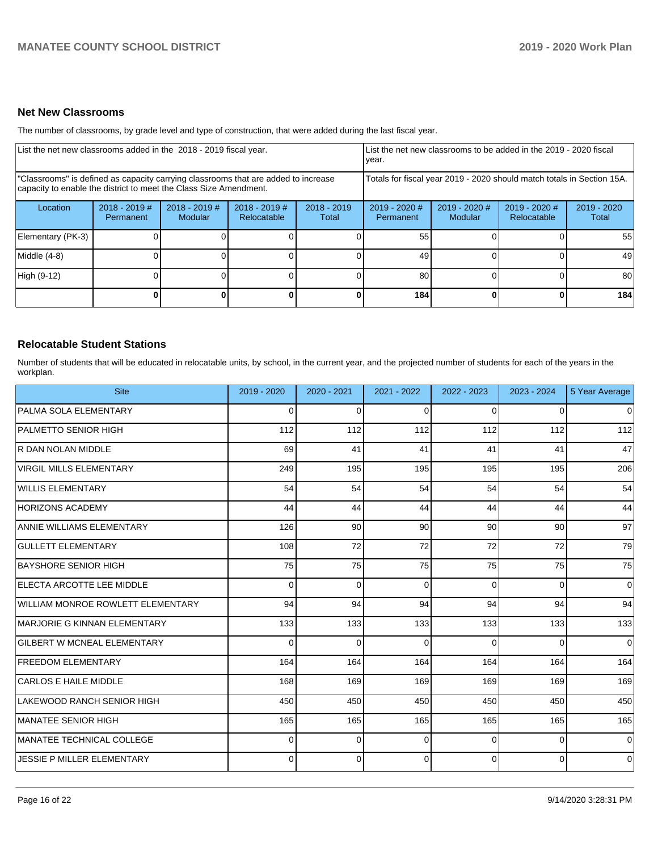### **Net New Classrooms**

The number of classrooms, by grade level and type of construction, that were added during the last fiscal year.

| List the net new classrooms added in the 2018 - 2019 fiscal year.                                                                                       |                              |                                 |                              |                        | List the net new classrooms to be added in the 2019 - 2020 fiscal<br>year. |                          |                              |                        |  |  |  |
|---------------------------------------------------------------------------------------------------------------------------------------------------------|------------------------------|---------------------------------|------------------------------|------------------------|----------------------------------------------------------------------------|--------------------------|------------------------------|------------------------|--|--|--|
| "Classrooms" is defined as capacity carrying classrooms that are added to increase<br>capacity to enable the district to meet the Class Size Amendment. |                              |                                 |                              |                        | Totals for fiscal year 2019 - 2020 should match totals in Section 15A.     |                          |                              |                        |  |  |  |
| Location                                                                                                                                                | $2018 - 2019$ #<br>Permanent | 2018 - 2019 #<br><b>Modular</b> | 2018 - 2019 #<br>Relocatable | $2018 - 2019$<br>Total | 2019 - 2020 #<br>Permanent                                                 | 2019 - 2020 #<br>Modular | 2019 - 2020 #<br>Relocatable | $2019 - 2020$<br>Total |  |  |  |
| Elementary (PK-3)                                                                                                                                       |                              |                                 |                              |                        | 55                                                                         |                          |                              | 55                     |  |  |  |
| Middle (4-8)                                                                                                                                            |                              |                                 |                              |                        | 49                                                                         |                          |                              | 49                     |  |  |  |
| High (9-12)                                                                                                                                             |                              |                                 |                              |                        | 80                                                                         |                          |                              | 80                     |  |  |  |
|                                                                                                                                                         |                              |                                 |                              | 0                      | 184                                                                        |                          | 0                            | 184                    |  |  |  |

### **Relocatable Student Stations**

Number of students that will be educated in relocatable units, by school, in the current year, and the projected number of students for each of the years in the workplan.

| <b>Site</b>                        | 2019 - 2020 | $2020 - 2021$ | 2021 - 2022 | 2022 - 2023 | 2023 - 2024 | 5 Year Average |
|------------------------------------|-------------|---------------|-------------|-------------|-------------|----------------|
| PALMA SOLA ELEMENTARY              | 0           | 0             | $\Omega$    | $\Omega$    | $\Omega$    | 0              |
| <b>PALMETTO SENIOR HIGH</b>        | 112         | 112           | 112         | 112         | 112         | 112            |
| R DAN NOLAN MIDDLE                 | 69          | 41            | 41          | 41          | 41          | 47             |
| <b>VIRGIL MILLS ELEMENTARY</b>     | 249         | 195           | 195         | 195         | 195         | 206            |
| <b>WILLIS ELEMENTARY</b>           | 54          | 54            | 54          | 54          | 54          | 54             |
| <b>HORIZONS ACADEMY</b>            | 44          | 44            | 44          | 44          | 44          | 44             |
| <b>ANNIE WILLIAMS ELEMENTARY</b>   | 126         | 90            | 90          | 90          | 90          | 97             |
| <b>GULLETT ELEMENTARY</b>          | 108         | 72            | 72          | 72          | 72          | 79             |
| <b>BAYSHORE SENIOR HIGH</b>        | 75          | 75            | 75          | 75          | 75          | 75             |
| ELECTA ARCOTTE LEE MIDDLE          | $\Omega$    | $\Omega$      | $\Omega$    | $\Omega$    | $\Omega$    | $\mathbf 0$    |
| WILLIAM MONROE ROWLETT ELEMENTARY  | 94          | 94            | 94          | 94          | 94          | 94             |
| MARJORIE G KINNAN ELEMENTARY       | 133         | 133           | 133         | 133         | 133         | 133            |
| <b>GILBERT W MCNEAL ELEMENTARY</b> | $\Omega$    | $\mathbf 0$   | $\Omega$    | $\Omega$    | $\Omega$    | $\mathbf 0$    |
| <b>FREEDOM ELEMENTARY</b>          | 164         | 164           | 164         | 164         | 164         | 164            |
| <b>CARLOS E HAILE MIDDLE</b>       | 168         | 169           | 169         | 169         | 169         | 169            |
| <b>LAKEWOOD RANCH SENIOR HIGH</b>  | 450         | 450           | 450         | 450         | 450         | 450            |
| MANATEE SENIOR HIGH                | 165         | 165           | 165         | 165         | 165         | 165            |
| MANATEE TECHNICAL COLLEGE          | $\Omega$    | $\Omega$      | 0           | $\Omega$    | $\Omega$    | $\Omega$       |
| <b>JESSIE P MILLER ELEMENTARY</b>  | $\Omega$    | $\mathbf 0$   | $\Omega$    | 0           | $\Omega$    | $\Omega$       |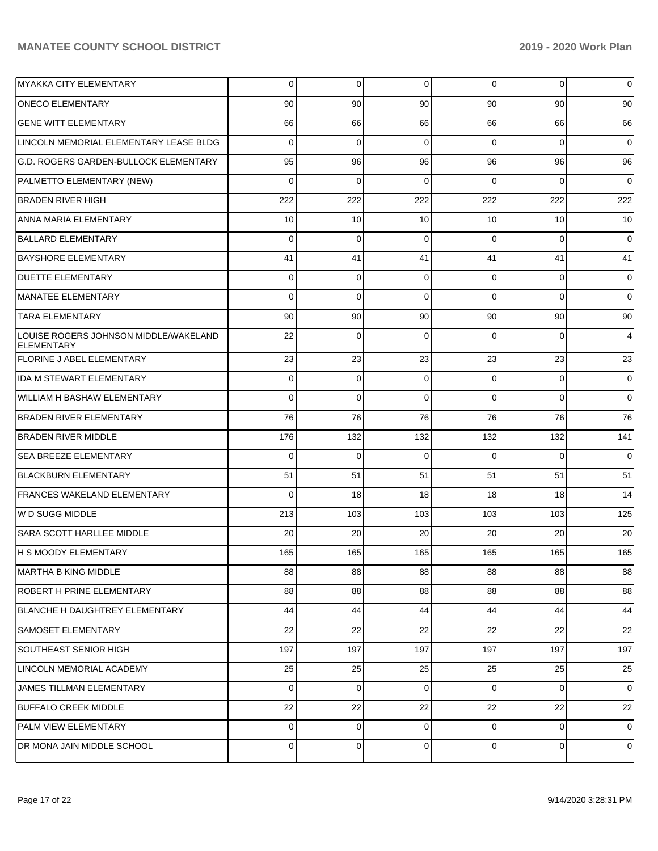| <b>MYAKKA CITY ELEMENTARY</b>                              | $\Omega$       | 0           | 0           | $\Omega$       | $\mathbf 0$ | $\overline{0}$ |
|------------------------------------------------------------|----------------|-------------|-------------|----------------|-------------|----------------|
| <b>ONECO ELEMENTARY</b>                                    | 90             | 90          | 90          | 90             | 90          | 90             |
| <b>GENE WITT ELEMENTARY</b>                                | 66             | 66          | 66          | 66             | 66          | 66             |
| LINCOLN MEMORIAL ELEMENTARY LEASE BLDG                     | $\Omega$       | 0           | 0           | $\Omega$       | $\Omega$    | 0              |
| G.D. ROGERS GARDEN-BULLOCK ELEMENTARY                      | 95             | 96          | 96          | 96             | 96          | 96             |
| PALMETTO ELEMENTARY (NEW)                                  | $\Omega$       | $\Omega$    | $\Omega$    | $\Omega$       | $\Omega$    | $\mathbf 0$    |
| <b>BRADEN RIVER HIGH</b>                                   | 222            | 222         | 222         | 222            | 222         | 222            |
| ANNA MARIA ELEMENTARY                                      | 10             | 10          | 10          | 10             | 10          | 10             |
| <b>BALLARD ELEMENTARY</b>                                  | $\Omega$       | $\Omega$    | $\Omega$    | $\Omega$       | $\Omega$    | $\mathbf 0$    |
| <b>BAYSHORE ELEMENTARY</b>                                 | 41             | 41          | 41          | 41             | 41          | 41             |
| <b>DUETTE ELEMENTARY</b>                                   | $\Omega$       | 0           | $\Omega$    | $\Omega$       | $\Omega$    | 0              |
| <b>MANATEE ELEMENTARY</b>                                  | $\Omega$       | $\Omega$    | $\Omega$    | $\Omega$       | $\Omega$    | 0              |
| <b>TARA ELEMENTARY</b>                                     | 90             | 90          | 90          | 90             | 90          | 90             |
| LOUISE ROGERS JOHNSON MIDDLE/WAKELAND<br><b>ELEMENTARY</b> | 22             | $\Omega$    | $\Omega$    | $\Omega$       | $\Omega$    | 4              |
| <b>FLORINE J ABEL ELEMENTARY</b>                           | 23             | 23          | 23          | 23             | 23          | 23             |
| <b>IDA M STEWART ELEMENTARY</b>                            | 0              | 0           | 0           | $\Omega$       | 0           | 0              |
| WILLIAM H BASHAW ELEMENTARY                                | $\Omega$       | $\mathbf 0$ | $\mathbf 0$ | $\Omega$       | $\Omega$    | $\mathbf 0$    |
| <b>BRADEN RIVER ELEMENTARY</b>                             | 76             | 76          | 76          | 76             | 76          | 76             |
| <b>BRADEN RIVER MIDDLE</b>                                 | 176            | 132         | 132         | 132            | 132         | 141            |
| SEA BREEZE ELEMENTARY                                      | $\Omega$       | 0           | $\Omega$    | $\Omega$       | $\Omega$    | $\mathbf 0$    |
| <b>BLACKBURN ELEMENTARY</b>                                | 51             | 51          | 51          | 51             | 51          | 51             |
| <b>FRANCES WAKELAND ELEMENTARY</b>                         | $\Omega$       | 18          | 18          | 18             | 18          | 14             |
| W D SUGG MIDDLE                                            | 213            | 103         | 103         | 103            | 103         | 125            |
| SARA SCOTT HARLLEE MIDDLE                                  | 20             | 20          | 20          | 20             | 20          | 20             |
| <b>H S MOODY ELEMENTARY</b>                                | 165            | 165         | 165         | 165            | 165         | 165            |
| MARTHA B KING MIDDLE                                       | 88             | 88          | 88          | 88             | 88          | 88             |
| ROBERT H PRINE ELEMENTARY                                  | 88             | 88          | 88          | 88             | 88          | 88             |
| BLANCHE H DAUGHTREY ELEMENTARY                             | 44             | 44          | 44          | 44             | 44          | 44             |
| SAMOSET ELEMENTARY                                         | 22             | 22          | 22          | 22             | 22          | 22             |
| SOUTHEAST SENIOR HIGH                                      | 197            | 197         | 197         | 197            | 197         | 197            |
| LINCOLN MEMORIAL ACADEMY                                   | 25             | 25          | 25          | 25             | 25          | 25             |
| JAMES TILLMAN ELEMENTARY                                   | $\mathbf{0}$   | $\mathbf 0$ | 0           | $\overline{0}$ | 0           | $\overline{0}$ |
| <b>BUFFALO CREEK MIDDLE</b>                                | 22             | 22          | 22          | 22             | 22          | 22             |
| PALM VIEW ELEMENTARY                                       | $\mathbf{0}$   | 0           | $\mathbf 0$ | $\overline{0}$ | $\mathbf 0$ | $\overline{0}$ |
| DR MONA JAIN MIDDLE SCHOOL                                 | $\overline{0}$ | 0           | 0           | $\overline{0}$ | 0           | 0              |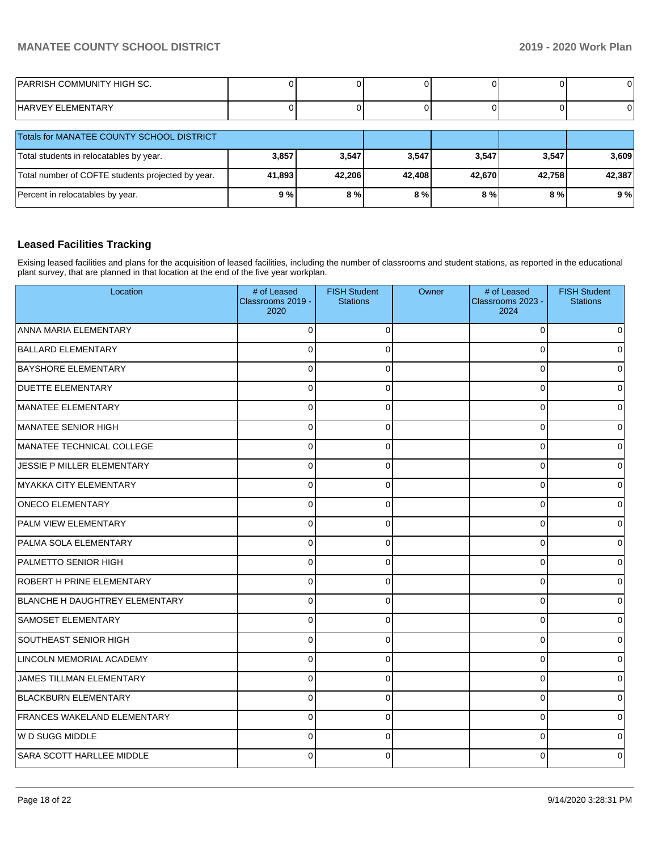| <b>PARRISH COMMUNITY HIGH SC.</b> |  |  |  |
|-----------------------------------|--|--|--|
| HARVEY ELEMENTARY                 |  |  |  |

| <b>Totals for MANATEE COUNTY SCHOOL DISTRICT</b>  |        |        |        |        |        |        |
|---------------------------------------------------|--------|--------|--------|--------|--------|--------|
| Total students in relocatables by year.           | 3,857  | 3.547  | 3,547  | 3,547  | 3.547  | 3,609  |
| Total number of COFTE students projected by year. | 41,893 | 42.206 | 42.408 | 42.670 | 42.758 | 42.387 |
| Percent in relocatables by year.                  | 9%     | $8\%$  | 8%     | 8 % l  | 8 % l  | 9%     |

## **Leased Facilities Tracking**

Exising leased facilities and plans for the acquisition of leased facilities, including the number of classrooms and student stations, as reported in the educational plant survey, that are planned in that location at the end of the five year workplan.

| Location                           | # of Leased<br>Classrooms 2019 -<br>2020 | <b>FISH Student</b><br><b>Stations</b> | Owner | # of Leased<br>Classrooms 2023 -<br>2024 | <b>FISH Student</b><br><b>Stations</b> |
|------------------------------------|------------------------------------------|----------------------------------------|-------|------------------------------------------|----------------------------------------|
| ANNA MARIA ELEMENTARY              | $\Omega$                                 | $\Omega$                               |       | $\Omega$                                 | $\Omega$                               |
| <b>BALLARD ELEMENTARY</b>          | $\Omega$                                 | $\Omega$                               |       | $\Omega$                                 | $\Omega$                               |
| <b>BAYSHORE ELEMENTARY</b>         | $\Omega$                                 | $\Omega$                               |       | 0                                        | $\Omega$                               |
| <b>DUETTE ELEMENTARY</b>           | $\Omega$                                 | $\Omega$                               |       | $\Omega$                                 | 0                                      |
| MANATEE ELEMENTARY                 | $\Omega$                                 | $\Omega$                               |       | $\Omega$                                 | $\Omega$                               |
| MANATEE SENIOR HIGH                | $\mathbf 0$                              | 0                                      |       | $\Omega$                                 | $\overline{0}$                         |
| MANATEE TECHNICAL COLLEGE          | $\mathbf 0$                              | $\Omega$                               |       | $\Omega$                                 | $\overline{0}$                         |
| JESSIE P MILLER ELEMENTARY         | $\Omega$                                 | $\Omega$                               |       | $\Omega$                                 | $\overline{0}$                         |
| MYAKKA CITY ELEMENTARY             | $\Omega$                                 | $\Omega$                               |       | $\Omega$                                 | $\overline{0}$                         |
| <b>ONECO ELEMENTARY</b>            | $\mathbf 0$                              | 0                                      |       | 0                                        | $\overline{0}$                         |
| PALM VIEW ELEMENTARY               | $\Omega$                                 | $\Omega$                               |       | $\Omega$                                 | $\mathbf 0$                            |
| PALMA SOLA ELEMENTARY              | $\Omega$                                 | $\Omega$                               |       | $\Omega$                                 | $\mathbf 0$                            |
| PALMETTO SENIOR HIGH               | $\Omega$                                 | $\Omega$                               |       | $\Omega$                                 | $\mathbf 0$                            |
| <b>ROBERT H PRINE ELEMENTARY</b>   | $\Omega$                                 | $\mathbf 0$                            |       | $\Omega$                                 | 0                                      |
| BLANCHE H DAUGHTREY ELEMENTARY     | $\Omega$                                 | $\Omega$                               |       | $\Omega$                                 | $\Omega$                               |
| <b>SAMOSET ELEMENTARY</b>          | $\Omega$                                 | $\Omega$                               |       | $\Omega$                                 | $\mathbf 0$                            |
| SOUTHEAST SENIOR HIGH              | $\Omega$                                 | $\Omega$                               |       | O                                        | $\overline{0}$                         |
| LINCOLN MEMORIAL ACADEMY           | $\Omega$                                 | $\Omega$                               |       | O                                        | 0                                      |
| JAMES TILLMAN ELEMENTARY           | $\Omega$                                 | $\Omega$                               |       | $\Omega$                                 | $\Omega$                               |
| <b>BLACKBURN ELEMENTARY</b>        | $\Omega$                                 | $\mathbf 0$                            |       | $\Omega$                                 | 0                                      |
| <b>FRANCES WAKELAND ELEMENTARY</b> | $\Omega$                                 | $\Omega$                               |       | $\Omega$                                 | $\overline{0}$                         |
| W D SUGG MIDDLE                    | $\Omega$                                 | $\Omega$                               |       | $\Omega$                                 | $\Omega$                               |
| SARA SCOTT HARLLEE MIDDLE          | $\Omega$                                 | $\Omega$                               |       | $\Omega$                                 | $\Omega$                               |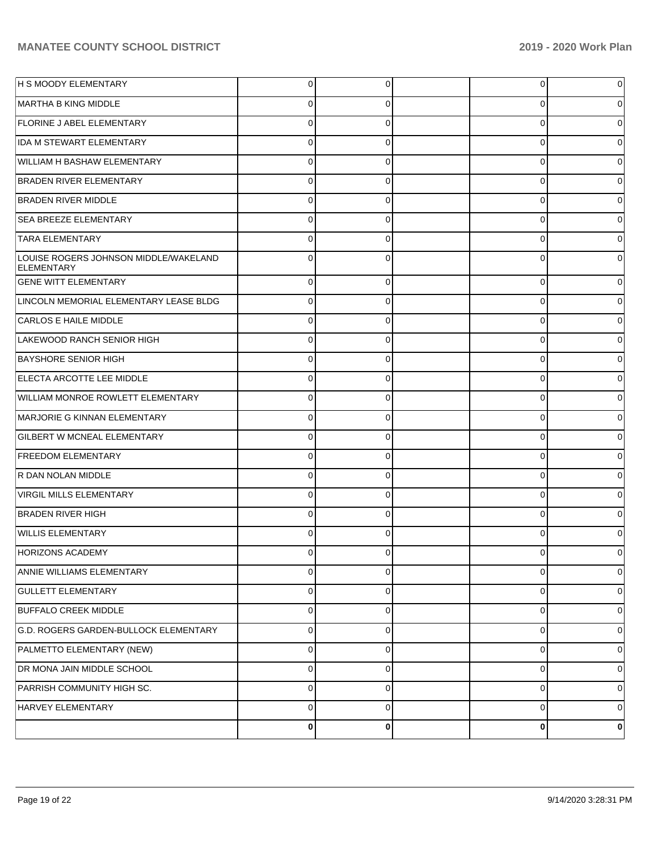| <b>H S MOODY ELEMENTARY</b>                                | 0        | 0           | 0           | 0           |
|------------------------------------------------------------|----------|-------------|-------------|-------------|
| MARTHA B KING MIDDLE                                       | 0        | 0           | 0           | 0           |
| <b>FLORINE J ABEL ELEMENTARY</b>                           | 0        | 0           | $\mathbf 0$ | $\Omega$    |
| <b>IDA M STEWART ELEMENTARY</b>                            | 0        | 0           | 0           | 0           |
| WILLIAM H BASHAW ELEMENTARY                                | 0        | 0           | 0           | $\Omega$    |
| <b>BRADEN RIVER ELEMENTARY</b>                             | 0        | 0           | 0           | 0           |
| <b>BRADEN RIVER MIDDLE</b>                                 | 0        | 0           | $\mathbf 0$ | $\Omega$    |
| <b>SEA BREEZE ELEMENTARY</b>                               | 0        | 0           | 0           | 0           |
| <b>TARA ELEMENTARY</b>                                     | 0        | 0           | 0           | $\Omega$    |
| LOUISE ROGERS JOHNSON MIDDLE/WAKELAND<br><b>ELEMENTARY</b> | $\Omega$ | 0           | 0           | $\Omega$    |
| <b>GENE WITT ELEMENTARY</b>                                | $\Omega$ | $\Omega$    | $\mathbf 0$ | $\Omega$    |
| LINCOLN MEMORIAL ELEMENTARY LEASE BLDG                     | $\Omega$ | $\Omega$    | 0           | 0           |
| CARLOS E HAILE MIDDLE                                      | $\Omega$ | $\Omega$    | 0           | 0           |
| LAKEWOOD RANCH SENIOR HIGH                                 | $\Omega$ | $\Omega$    | 0           | 0           |
| <b>BAYSHORE SENIOR HIGH</b>                                | $\Omega$ | $\Omega$    | 0           | 0           |
| ELECTA ARCOTTE LEE MIDDLE                                  | $\Omega$ | $\Omega$    | 0           | 0           |
| <b>WILLIAM MONROE ROWLETT ELEMENTARY</b>                   | $\Omega$ | $\Omega$    | 0           | 0           |
| MARJORIE G KINNAN ELEMENTARY                               | $\Omega$ | $\Omega$    | 0           | 0           |
| <b>GILBERT W MCNEAL ELEMENTARY</b>                         | $\Omega$ | $\Omega$    | 0           | 0           |
| <b>FREEDOM ELEMENTARY</b>                                  | $\Omega$ | $\Omega$    | $\mathbf 0$ | $\Omega$    |
| R DAN NOLAN MIDDLE                                         | $\Omega$ | $\Omega$    | 0           | $\Omega$    |
| VIRGIL MILLS ELEMENTARY                                    | $\Omega$ | $\Omega$    | 0           | $\Omega$    |
| <b>BRADEN RIVER HIGH</b>                                   | $\Omega$ | $\Omega$    | 0           | 0           |
| <b>WILLIS ELEMENTARY</b>                                   | $\Omega$ | $\Omega$    | $\Omega$    | 0           |
| <b>HORIZONS ACADEMY</b>                                    | $\Omega$ | $\Omega$    | 0           | 0           |
| ANNIE WILLIAMS ELEMENTARY                                  | $\Omega$ | $\Omega$    | 0           | $\mathbf 0$ |
| <b>GULLETT ELEMENTARY</b>                                  | 0        | $\mathbf 0$ | 0           | 0           |
| <b>BUFFALO CREEK MIDDLE</b>                                | $\Omega$ | $\Omega$    | 0           | 0           |
| G.D. ROGERS GARDEN-BULLOCK ELEMENTARY                      | 0        | $\mathbf 0$ | 0           | 0           |
| PALMETTO ELEMENTARY (NEW)                                  | 0        | $\Omega$    | 0           | 0           |
| DR MONA JAIN MIDDLE SCHOOL                                 | 0        | $\mathbf 0$ | 0           | 0           |
| PARRISH COMMUNITY HIGH SC.                                 | $\Omega$ | $\Omega$    | 0           | 0           |
| HARVEY ELEMENTARY                                          | 0        | $\mathbf 0$ | 0           | 0           |
|                                                            | 0        | 0           | 0           | 0           |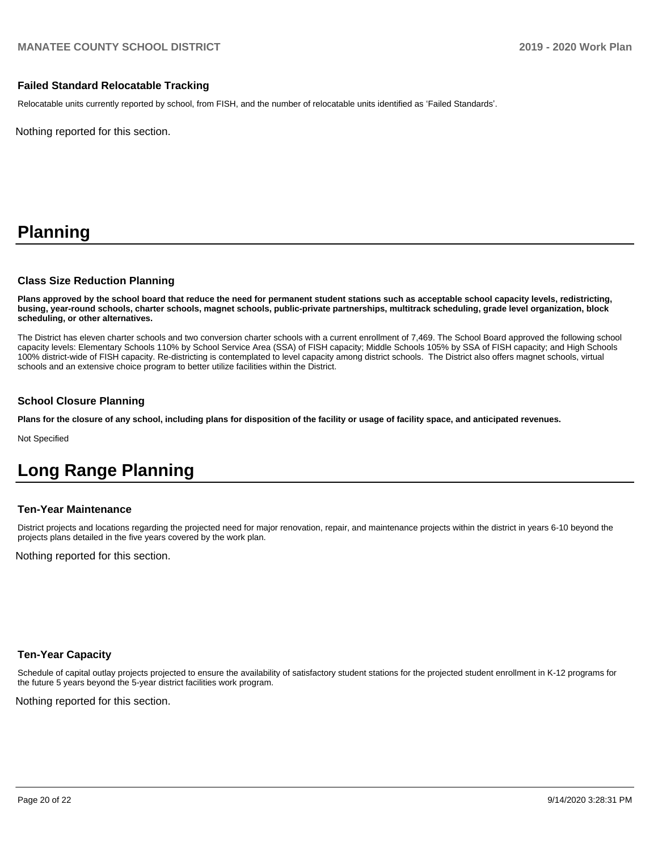### **Failed Standard Relocatable Tracking**

Relocatable units currently reported by school, from FISH, and the number of relocatable units identified as 'Failed Standards'.

Nothing reported for this section.

# **Planning**

### **Class Size Reduction Planning**

**Plans approved by the school board that reduce the need for permanent student stations such as acceptable school capacity levels, redistricting, busing, year-round schools, charter schools, magnet schools, public-private partnerships, multitrack scheduling, grade level organization, block scheduling, or other alternatives.**

The District has eleven charter schools and two conversion charter schools with a current enrollment of 7,469. The School Board approved the following school capacity levels: Elementary Schools 110% by School Service Area (SSA) of FISH capacity; Middle Schools 105% by SSA of FISH capacity; and High Schools 100% district-wide of FISH capacity. Re-districting is contemplated to level capacity among district schools. The District also offers magnet schools, virtual schools and an extensive choice program to better utilize facilities within the District.

### **School Closure Planning**

**Plans for the closure of any school, including plans for disposition of the facility or usage of facility space, and anticipated revenues.** 

Not Specified

# **Long Range Planning**

### **Ten-Year Maintenance**

District projects and locations regarding the projected need for major renovation, repair, and maintenance projects within the district in years 6-10 beyond the projects plans detailed in the five years covered by the work plan.

Nothing reported for this section.

### **Ten-Year Capacity**

Schedule of capital outlay projects projected to ensure the availability of satisfactory student stations for the projected student enrollment in K-12 programs for the future 5 years beyond the 5-year district facilities work program.

Nothing reported for this section.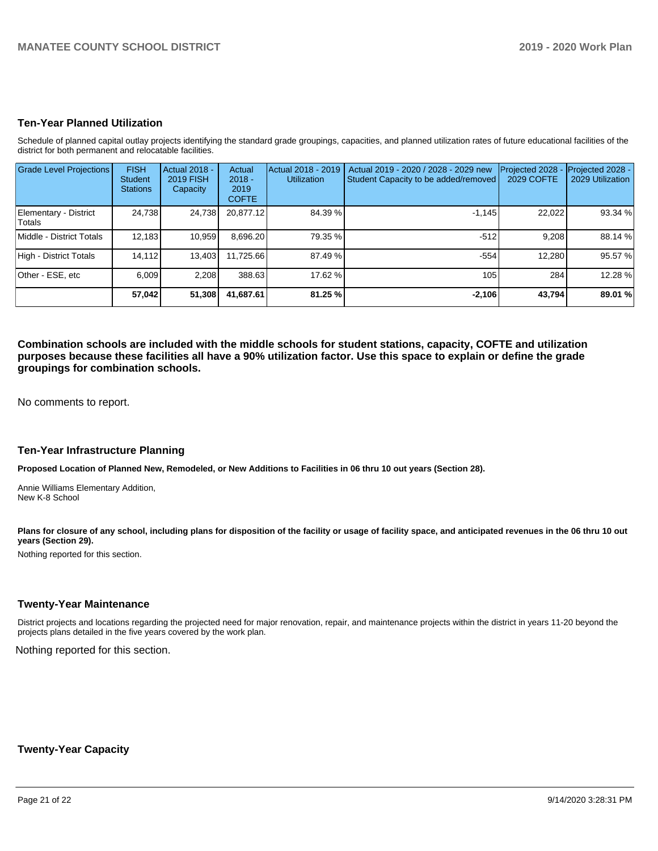### **Ten-Year Planned Utilization**

Schedule of planned capital outlay projects identifying the standard grade groupings, capacities, and planned utilization rates of future educational facilities of the district for both permanent and relocatable facilities.

| <b>Grade Level Projections</b>  | <b>FISH</b><br><b>Student</b><br><b>Stations</b> | Actual 2018 -<br><b>2019 FISH</b><br>Capacity | Actual<br>$2018 -$<br>2019<br><b>COFTE</b> | Actual 2018 - 2019<br><b>Utilization</b> | Actual 2019 - 2020 / 2028 - 2029 new<br>Student Capacity to be added/removed | Projected 2028<br><b>2029 COFTE</b> | Projected 2028 -<br>2029 Utilization |
|---------------------------------|--------------------------------------------------|-----------------------------------------------|--------------------------------------------|------------------------------------------|------------------------------------------------------------------------------|-------------------------------------|--------------------------------------|
| Elementary - District<br>Totals | 24,738                                           | 24,738                                        | 20,877.12                                  | 84.39 %                                  | $-1.145$                                                                     | 22,022                              | 93.34%                               |
| Middle - District Totals        | 12,183                                           | 10,959                                        | 8,696.20                                   | 79.35 %                                  | $-512$                                                                       | 9,208                               | 88.14 %                              |
| High - District Totals          | 14.112                                           | 13,403                                        | 11.725.66                                  | 87.49 %                                  | $-554$                                                                       | 12.280                              | 95.57%                               |
| Other - ESE, etc                | 6,009                                            | 2,208                                         | 388.63                                     | 17.62 %                                  | 105                                                                          | 284                                 | 12.28 %                              |
|                                 | 57,042                                           | 51,308                                        | 41,687.61                                  | 81.25 %                                  | $-2,106$                                                                     | 43,794                              | 89.01 %                              |

**Combination schools are included with the middle schools for student stations, capacity, COFTE and utilization purposes because these facilities all have a 90% utilization factor. Use this space to explain or define the grade groupings for combination schools.** 

No comments to report.

### **Ten-Year Infrastructure Planning**

**Proposed Location of Planned New, Remodeled, or New Additions to Facilities in 06 thru 10 out years (Section 28).**

Annie Williams Elementary Addition, New K-8 School

Plans for closure of any school, including plans for disposition of the facility or usage of facility space, and anticipated revenues in the 06 thru 10 out **years (Section 29).**

Nothing reported for this section.

### **Twenty-Year Maintenance**

District projects and locations regarding the projected need for major renovation, repair, and maintenance projects within the district in years 11-20 beyond the projects plans detailed in the five years covered by the work plan.

Nothing reported for this section.

### **Twenty-Year Capacity**